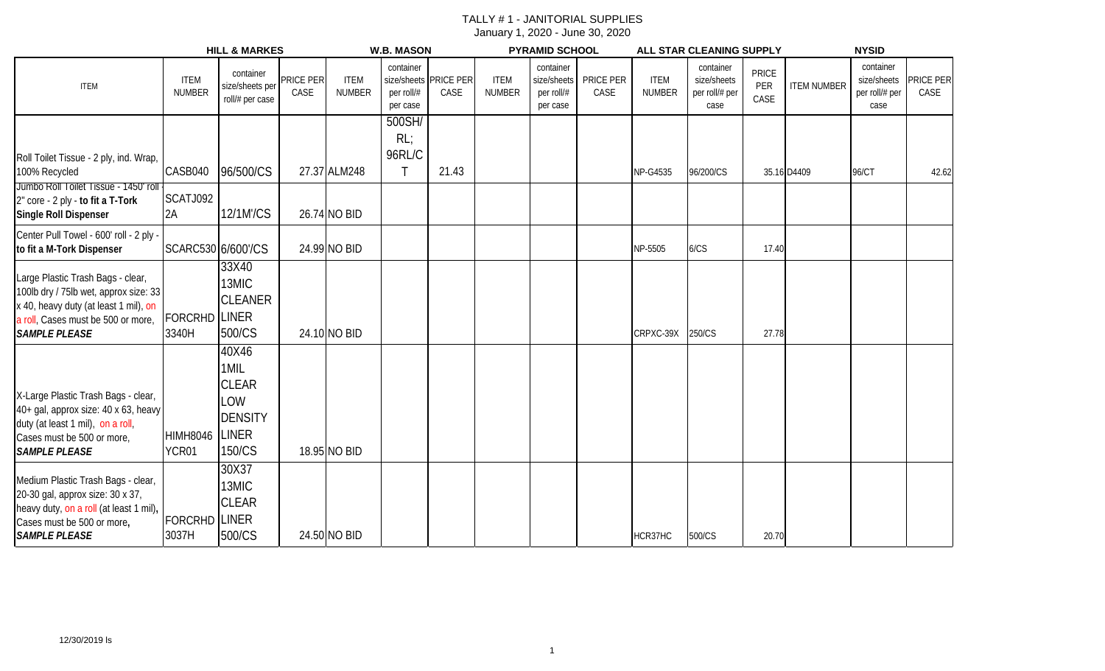|                                                                                                                                                                                   |                              | <b>HILL &amp; MARKES</b>                                                  |                   |                              | <b>W.B. MASON</b>                   |                               |                              | <b>PYRAMID SCHOOL</b>                              |                   |                              | ALL STAR CLEANING SUPPLY                           |                             |                    | <b>NYSID</b>                                       |                          |
|-----------------------------------------------------------------------------------------------------------------------------------------------------------------------------------|------------------------------|---------------------------------------------------------------------------|-------------------|------------------------------|-------------------------------------|-------------------------------|------------------------------|----------------------------------------------------|-------------------|------------------------------|----------------------------------------------------|-----------------------------|--------------------|----------------------------------------------------|--------------------------|
| <b>ITEM</b>                                                                                                                                                                       | <b>ITEM</b><br><b>NUMBER</b> | container<br>size/sheets per<br>roll/# per case                           | PRICE PER<br>CASE | <b>ITEM</b><br><b>NUMBER</b> | container<br>per roll/#<br>per case | size/sheets PRICE PER<br>CASE | <b>ITEM</b><br><b>NUMBER</b> | container<br>size/sheets<br>per roll/#<br>per case | PRICE PER<br>CASE | <b>ITEM</b><br><b>NUMBER</b> | container<br>size/sheets<br>per roll/# per<br>case | <b>PRICE</b><br>PER<br>CASE | <b>ITEM NUMBER</b> | container<br>size/sheets<br>per roll/# per<br>case | <b>PRICE PER</b><br>CASE |
| Roll Toilet Tissue - 2 ply, ind. Wrap,<br>100% Recycled<br>Jumbo Roll Toilet Tissue - 1450' roll                                                                                  | CASB040                      | 96/500/CS                                                                 |                   | 27.37 ALM248                 | 500SH/<br>RL<br>96RL/C              | 21.43                         |                              |                                                    |                   | NP-G4535                     | 96/200/CS                                          |                             | 35.16 D4409        | 96/CT                                              | 42.62                    |
| 2" core - 2 ply - to fit a T-Tork<br>Single Roll Dispenser                                                                                                                        | SCATJ092<br>2A               | 12/1M'/CS                                                                 |                   | 26.74 NO BID                 |                                     |                               |                              |                                                    |                   |                              |                                                    |                             |                    |                                                    |                          |
| Center Pull Towel - 600' roll - 2 ply -<br>to fit a M-Tork Dispenser                                                                                                              | SCARC530 6/600'/CS           |                                                                           |                   | 24.99 NO BID                 |                                     |                               |                              |                                                    |                   | NP-5505                      | 6/CS                                               | 17.40                       |                    |                                                    |                          |
| Large Plastic Trash Bags - clear,<br>100lb dry / 75lb wet, approx size: 33<br>x 40, heavy duty (at least 1 mil), on<br>a roll, Cases must be 500 or more,<br><b>SAMPLE PLEASE</b> | <b>FORCRHD</b><br>3340H      | 33X40<br>13MIC<br><b>CLEANER</b><br><b>LINER</b><br>500/CS                |                   | 24.10 NO BID                 |                                     |                               |                              |                                                    |                   | CRPXC-39X                    | 250/CS                                             | 27.78                       |                    |                                                    |                          |
| X-Large Plastic Trash Bags - clear,<br>40+ gal, approx size: 40 x 63, heavy<br>duty (at least 1 mil), on a roll,<br>Cases must be 500 or more,<br><b>SAMPLE PLEASE</b>            | <b>HIMH8046</b><br>YCR01     | 40X46<br>1MIL<br><b>CLEAR</b><br>LOW<br><b>DENSITY</b><br>LINER<br>150/CS |                   | 18.95 NO BID                 |                                     |                               |                              |                                                    |                   |                              |                                                    |                             |                    |                                                    |                          |
| Medium Plastic Trash Bags - clear,<br>20-30 gal, approx size: 30 x 37,<br>heavy duty, on a roll (at least 1 mil),<br>Cases must be 500 or more,<br><b>SAMPLE PLEASE</b>           | <b>FORCRHD</b><br>3037H      | 30X37<br><b>I3MIC</b><br><b>CLEAR</b><br><b>LINER</b><br>500/CS           |                   | 24.50 NO BID                 |                                     |                               |                              |                                                    |                   | HCR37HC                      | 500/CS                                             | 20.70                       |                    |                                                    |                          |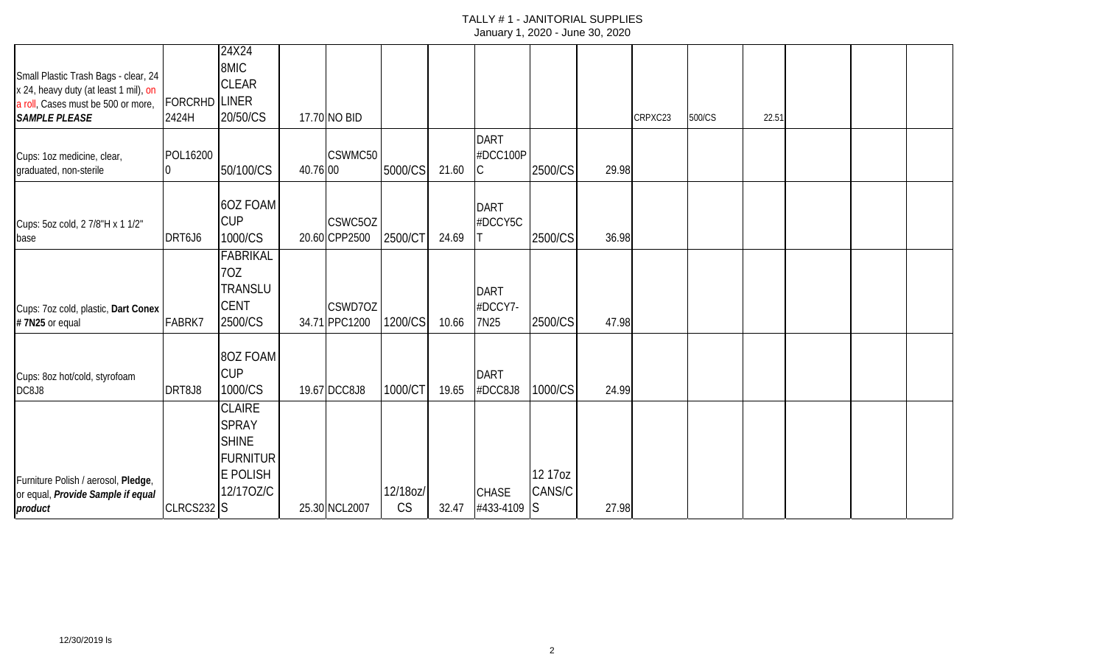| Small Plastic Trash Bags - clear, 24<br>x 24, heavy duty (at least 1 mil), on       |                               | 24X24<br>8MIC<br><b>CLEAR</b>                                                             |          |                          |                |       |                                |                    |       |         |        |       |  |  |
|-------------------------------------------------------------------------------------|-------------------------------|-------------------------------------------------------------------------------------------|----------|--------------------------|----------------|-------|--------------------------------|--------------------|-------|---------|--------|-------|--|--|
| a roll, Cases must be 500 or more,<br><b>SAMPLE PLEASE</b>                          | <b>FORCRHD LINER</b><br>2424H | 20/50/CS                                                                                  |          | 17.70 NO BID             |                |       |                                |                    |       | CRPXC23 | 500/CS | 22.51 |  |  |
| Cups: 1oz medicine, clear,<br>graduated, non-sterile                                | POL16200<br>10                | 50/100/CS                                                                                 | 40.76 00 | CSWMC50                  | 5000/CS        | 21.60 | <b>DART</b><br>#DCC100P<br>C   | 2500/CS            | 29.98 |         |        |       |  |  |
| Cups: 5oz cold, 2 7/8"H x 1 1/2"<br>base                                            | DRT6J6                        | <b>6OZ FOAM</b><br><b>CUP</b><br>1000/CS                                                  |          | CSWC5OZ<br>20.60 CPP2500 | 2500/CT        | 24.69 | <b>DART</b><br>#DCCY5C         | 2500/CS            | 36.98 |         |        |       |  |  |
| Cups: 7oz cold, plastic, Dart Conex<br>#7N25 or equal                               | FABRK7                        | FABRIKAL<br>70Z<br><b><i>FRANSLU</i></b><br><b>CENT</b><br>2500/CS                        |          | CSWD7OZ<br>34.71 PPC1200 | 1200/CS        | 10.66 | <b>DART</b><br>#DCCY7-<br>7N25 | 2500/CS            | 47.98 |         |        |       |  |  |
| Cups: 8oz hot/cold, styrofoam<br>DC8J8                                              | DRT8J8                        | 8OZ FOAM<br><b>CUP</b><br>1000/CS                                                         |          | 19.67 DCC8J8             | 1000/CT        | 19.65 | <b>DART</b><br>#DCC8J8         | 1000/CS            | 24.99 |         |        |       |  |  |
| Furniture Polish / aerosol, Pledge,<br>or equal, Provide Sample if equal<br>product | CLRCS232 S                    | <b>CLAIRE</b><br><b>SPRAY</b><br><b>SHINE</b><br><b>FURNITUR</b><br>E POLISH<br>12/170Z/C |          | 25.30 NCL2007            | 12/18oz/<br>CS | 32.47 | <b>CHASE</b><br>#433-4109 S    | 12 17 oz<br>CANS/C | 27.98 |         |        |       |  |  |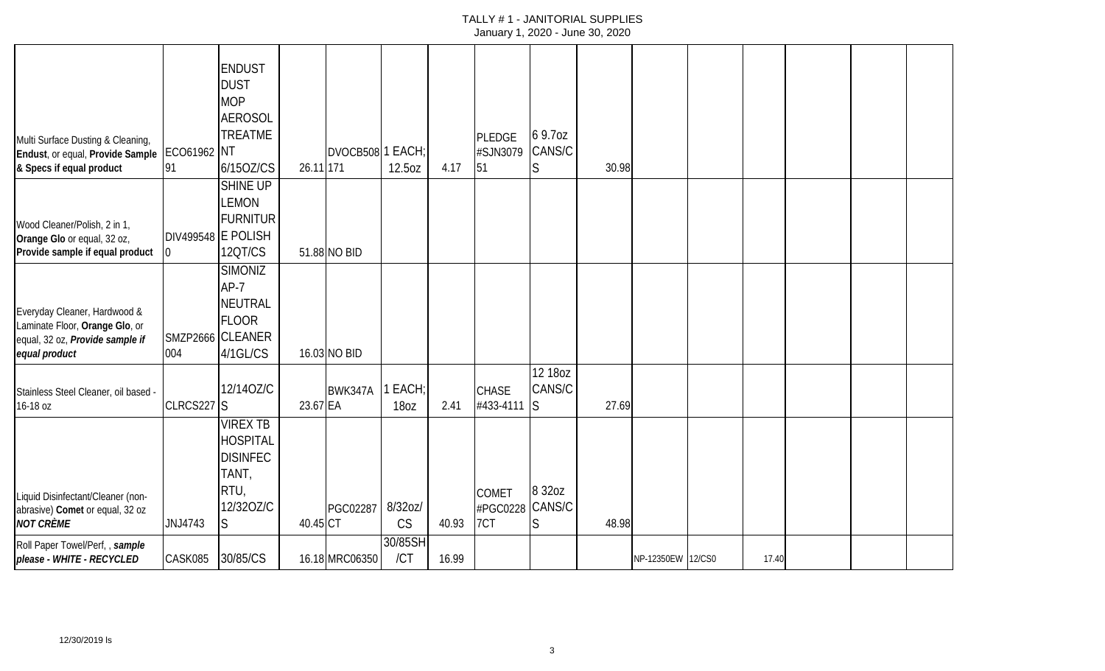|                                                  |                    | <b>ENDUST</b>    |           |                  |           |       |                 |              |       |                   |       |  |  |
|--------------------------------------------------|--------------------|------------------|-----------|------------------|-----------|-------|-----------------|--------------|-------|-------------------|-------|--|--|
|                                                  |                    |                  |           |                  |           |       |                 |              |       |                   |       |  |  |
|                                                  |                    | <b>DUST</b>      |           |                  |           |       |                 |              |       |                   |       |  |  |
|                                                  |                    | <b>MOP</b>       |           |                  |           |       |                 |              |       |                   |       |  |  |
|                                                  |                    | <b>AEROSOL</b>   |           |                  |           |       |                 |              |       |                   |       |  |  |
| Multi Surface Dusting & Cleaning,                |                    | <b>TREATME</b>   |           |                  |           |       | <b>PLEDGE</b>   | 69.70Z       |       |                   |       |  |  |
| Endust, or equal, Provide Sample ECO61962 NT     |                    |                  |           | DVOCB508 1 EACH; |           |       | #SJN3079        | CANS/C       |       |                   |       |  |  |
| & Specs if equal product                         | 91                 | 6/15OZ/CS        | 26.11 171 |                  | 12.5oz    | 4.17  | 51              | S            | 30.98 |                   |       |  |  |
|                                                  |                    | <b>SHINE UP</b>  |           |                  |           |       |                 |              |       |                   |       |  |  |
|                                                  |                    | LEMON            |           |                  |           |       |                 |              |       |                   |       |  |  |
|                                                  |                    | <b>FURNITUR</b>  |           |                  |           |       |                 |              |       |                   |       |  |  |
| Wood Cleaner/Polish, 2 in 1,                     |                    |                  |           |                  |           |       |                 |              |       |                   |       |  |  |
| Orange Glo or equal, 32 oz,                      | DIV499548 E POLISH |                  |           |                  |           |       |                 |              |       |                   |       |  |  |
| Provide sample if equal product                  |                    | 12QT/CS          |           | 51.88 NO BID     |           |       |                 |              |       |                   |       |  |  |
|                                                  |                    | <b>SIMONIZ</b>   |           |                  |           |       |                 |              |       |                   |       |  |  |
|                                                  |                    | $AP-7$           |           |                  |           |       |                 |              |       |                   |       |  |  |
| Everyday Cleaner, Hardwood &                     |                    | NEUTRAL          |           |                  |           |       |                 |              |       |                   |       |  |  |
| Laminate Floor, Orange Glo, or                   |                    | <b>FLOOR</b>     |           |                  |           |       |                 |              |       |                   |       |  |  |
| equal, 32 oz, Provide sample if                  |                    | SMZP2666 CLEANER |           |                  |           |       |                 |              |       |                   |       |  |  |
| equal product                                    | 004                | 4/1GL/CS         |           | 16.03 NO BID     |           |       |                 |              |       |                   |       |  |  |
|                                                  |                    |                  |           |                  |           |       |                 | 12 18 oz     |       |                   |       |  |  |
|                                                  |                    | 12/14OZ/C        |           | BWK347A          | I EACH;   |       | <b>CHASE</b>    | CANS/C       |       |                   |       |  |  |
| Stainless Steel Cleaner, oil based -<br>16-18 oz | CLRCS227 S         |                  | 23.67 EA  |                  | 18oz      | 2.41  | #433-4111       | <sub>S</sub> | 27.69 |                   |       |  |  |
|                                                  |                    |                  |           |                  |           |       |                 |              |       |                   |       |  |  |
|                                                  |                    | <b>VIREX TB</b>  |           |                  |           |       |                 |              |       |                   |       |  |  |
|                                                  |                    | <b>HOSPITAL</b>  |           |                  |           |       |                 |              |       |                   |       |  |  |
|                                                  |                    | <b>DISINFEC</b>  |           |                  |           |       |                 |              |       |                   |       |  |  |
|                                                  |                    | TANT,            |           |                  |           |       |                 |              |       |                   |       |  |  |
| Liquid Disinfectant/Cleaner (non-                |                    | RTU,             |           |                  |           |       | <b>COMET</b>    | 8 3 2 o z    |       |                   |       |  |  |
| abrasive) Comet or equal, 32 oz                  |                    | 12/320Z/C        |           | PGC02287         | 8/32oz/   |       | #PGC0228 CANS/C |              |       |                   |       |  |  |
| <b>NOT CRÈME</b>                                 | JNJ4743            | S.               | 40.45 CT  |                  | <b>CS</b> | 40.93 | 7CT             | S            | 48.98 |                   |       |  |  |
| Roll Paper Towel/Perf,, sample                   |                    |                  |           |                  | 30/85SH   |       |                 |              |       |                   |       |  |  |
| please - WHITE - RECYCLED                        | CASK085            | 30/85/CS         |           | 16.18 MRC06350   | /CT       | 16.99 |                 |              |       | NP-12350EW 12/CS0 | 17.40 |  |  |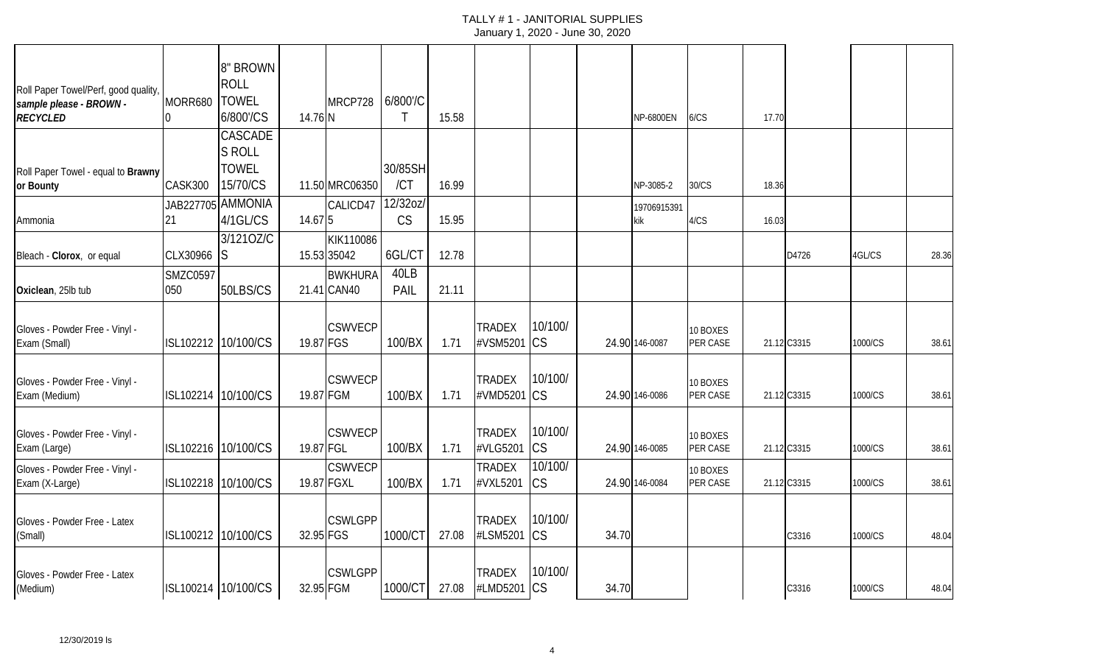|                                                                 |                 | 8" BROWN            |           |                |           |       |                           |           |       |                  |                      |       |             |         |       |
|-----------------------------------------------------------------|-----------------|---------------------|-----------|----------------|-----------|-------|---------------------------|-----------|-------|------------------|----------------------|-------|-------------|---------|-------|
| Roll Paper Towel/Perf, good quality,<br>sample please - BROWN - | MORR680   TOWEL | <b>ROLL</b>         |           | MRCP728        | 6/800'/C  |       |                           |           |       |                  |                      |       |             |         |       |
| <b>RECYCLED</b>                                                 |                 | 6/800'/CS           | 14.76 N   |                | $\top$    | 15.58 |                           |           |       | <b>NP-6800EN</b> | 6/CS                 | 17.70 |             |         |       |
|                                                                 |                 | CASCADE             |           |                |           |       |                           |           |       |                  |                      |       |             |         |       |
|                                                                 |                 | <b>S ROLL</b>       |           |                |           |       |                           |           |       |                  |                      |       |             |         |       |
| Roll Paper Towel - equal to Brawny                              |                 | <b>TOWEL</b>        |           |                | 30/85SH   |       |                           |           |       |                  |                      |       |             |         |       |
| or Bounty                                                       | CASK300         | 15/70/CS            |           | 11.50 MRC06350 | /CT       | 16.99 |                           |           |       | NP-3085-2        | 30/CS                | 18.36 |             |         |       |
|                                                                 |                 | JAB227705 AMMONIA   |           | CALICD47       | 12/32oz/  |       |                           |           |       | 19706915391      |                      |       |             |         |       |
| Ammonia                                                         | 21              | 4/1GL/CS            | 14.67 5   |                | <b>CS</b> | 15.95 |                           |           |       | kik              | 4/CS                 | 16.03 |             |         |       |
|                                                                 |                 | 3/1210Z/C           |           | KIK110086      |           |       |                           |           |       |                  |                      |       |             |         |       |
| Bleach - Clorox, or equal                                       | CLX30966 S      |                     |           | 15.53 35042    | 6GL/CT    | 12.78 |                           |           |       |                  |                      |       | D4726       | 4GL/CS  | 28.36 |
|                                                                 | <b>SMZC0597</b> |                     |           | <b>BWKHURA</b> | 40LB      |       |                           |           |       |                  |                      |       |             |         |       |
| Oxiclean, 25lb tub                                              | 050             | 50LBS/CS            |           | 21.41 CAN40    | PAIL      | 21.11 |                           |           |       |                  |                      |       |             |         |       |
|                                                                 |                 |                     |           |                |           |       |                           |           |       |                  |                      |       |             |         |       |
| Gloves - Powder Free - Vinyl -                                  |                 |                     |           | <b>CSWVECP</b> |           |       | <b>TRADEX</b>             | 10/100/   |       |                  |                      |       |             |         |       |
| Exam (Small)                                                    |                 | ISL102212 10/100/CS | 19.87 FGS |                | 100/BX    | 1.71  | #VSM5201                  | <b>CS</b> |       | 24.90 146-0087   | 10 BOXES<br>PER CASE |       | 21.12 C3315 | 1000/CS | 38.61 |
|                                                                 |                 |                     |           |                |           |       |                           |           |       |                  |                      |       |             |         |       |
|                                                                 |                 |                     |           |                |           |       |                           | 10/100/   |       |                  |                      |       |             |         |       |
| Gloves - Powder Free - Vinyl -<br>Exam (Medium)                 |                 | ISL102214 10/100/CS | 19.87 FGM | <b>CSWVECP</b> | 100/BX    | 1.71  | <b>TRADEX</b><br>#VMD5201 | <b>CS</b> |       | 24.90 146-0086   | 10 BOXES<br>PER CASE |       | 21.12 C3315 | 1000/CS | 38.61 |
|                                                                 |                 |                     |           |                |           |       |                           |           |       |                  |                      |       |             |         |       |
|                                                                 |                 |                     |           |                |           |       |                           |           |       |                  |                      |       |             |         |       |
| Gloves - Powder Free - Vinyl -                                  |                 |                     |           | <b>CSWVECP</b> |           |       | <b>TRADEX</b>             | 10/100/   |       |                  | 10 BOXES             |       |             |         |       |
| Exam (Large)                                                    |                 | ISL102216 10/100/CS | 19.87 FGL |                | 100/BX    | 1.71  | #VLG5201                  | <b>CS</b> |       | 24.90 146-0085   | PER CASE             |       | 21.12 C3315 | 1000/CS | 38.61 |
| Gloves - Powder Free - Vinyl -                                  |                 |                     |           | <b>CSWVECP</b> |           |       | <b>TRADEX</b>             | 10/100/   |       |                  | 10 BOXES             |       |             |         |       |
| Exam (X-Large)                                                  |                 | ISL102218 10/100/CS |           | 19.87 FGXL     | 100/BX    | 1.71  | #VXL5201                  | <b>CS</b> |       | 24.90 146-0084   | PER CASE             |       | 21.12 C3315 | 1000/CS | 38.61 |
|                                                                 |                 |                     |           |                |           |       |                           |           |       |                  |                      |       |             |         |       |
| Gloves - Powder Free - Latex                                    |                 |                     |           | <b>CSWLGPP</b> |           |       | <b>TRADEX</b>             | 10/100/   |       |                  |                      |       |             |         |       |
| (Small)                                                         |                 | ISL100212 10/100/CS | 32.95 FGS |                | 1000/CT   | 27.08 | #LSM5201                  | <b>CS</b> | 34.70 |                  |                      |       | C3316       | 1000/CS | 48.04 |
|                                                                 |                 |                     |           |                |           |       |                           |           |       |                  |                      |       |             |         |       |
| Gloves - Powder Free - Latex                                    |                 |                     |           | <b>CSWLGPP</b> |           |       | <b>TRADEX</b>             | 10/100/   |       |                  |                      |       |             |         |       |
| (Medium)                                                        |                 | ISL100214 10/100/CS | 32.95 FGM |                | 1000/CT   | 27.08 | #LMD5201                  | <b>CS</b> | 34.70 |                  |                      |       | C3316       | 1000/CS | 48.04 |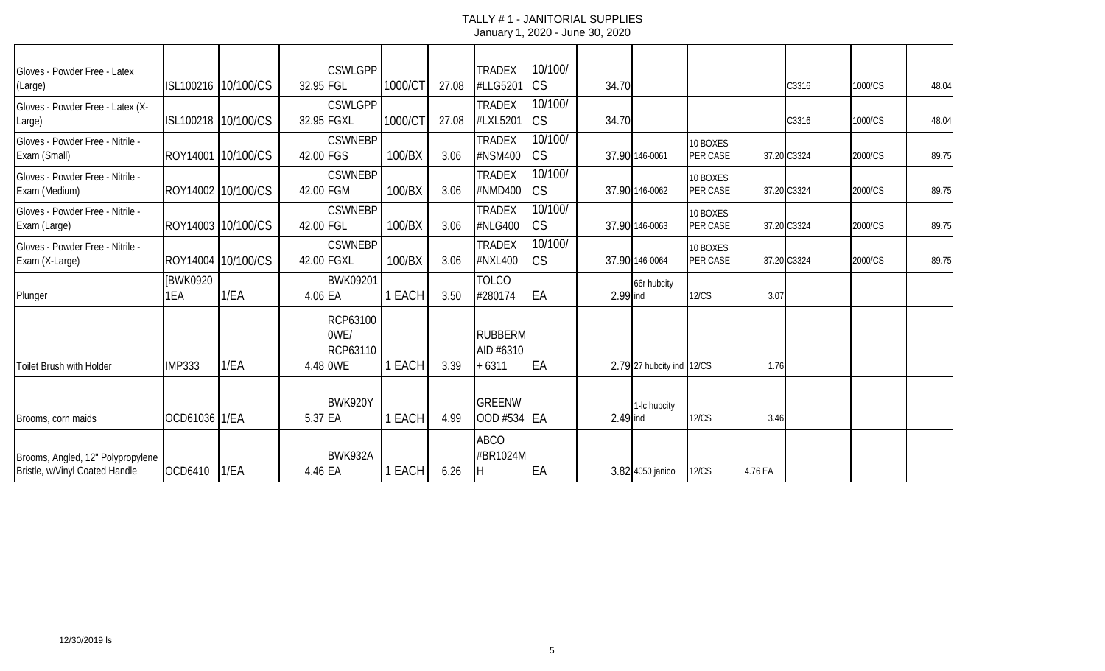| Gloves - Powder Free - Latex                                        |                  |                     |           | <b>CSWLGPP</b>                           |         |       | <b>TRADEX</b>                          | 10/100/              |          |                           |                      |         |             |         |       |
|---------------------------------------------------------------------|------------------|---------------------|-----------|------------------------------------------|---------|-------|----------------------------------------|----------------------|----------|---------------------------|----------------------|---------|-------------|---------|-------|
| (Large)                                                             |                  | ISL100216 10/100/CS | 32.95 FGL |                                          | 1000/CT | 27.08 | #LLG5201                               | <b>CS</b>            | 34.70    |                           |                      |         | C3316       | 1000/CS | 48.04 |
| Gloves - Powder Free - Latex (X-<br>Large)                          |                  | ISL100218 10/100/CS |           | <b>CSWLGPP</b><br>32.95 FGXL             | 1000/CT | 27.08 | <b>TRADEX</b><br>#LXL5201              | 10/100/<br><b>CS</b> | 34.70    |                           |                      |         | C3316       | 1000/CS | 48.04 |
| Gloves - Powder Free - Nitrile -<br>Exam (Small)                    |                  | ROY14001 10/100/CS  | 42.00 FGS | <b>CSWNEBP</b>                           | 100/BX  | 3.06  | <b>TRADEX</b><br>#NSM400               | 10/100/<br><b>CS</b> |          | 37.90 146-0061            | 10 BOXES<br>PER CASE |         | 37.20 C3324 | 2000/CS | 89.75 |
| Gloves - Powder Free - Nitrile -<br>Exam (Medium)                   |                  | ROY14002 10/100/CS  | 42.00 FGM | <b>CSWNEBP</b>                           | 100/BX  | 3.06  | <b>TRADEX</b><br>#NMD400               | 10/100/<br><b>CS</b> |          | 37.90 146-0062            | 10 BOXES<br>PER CASE |         | 37.20 C3324 | 2000/CS | 89.75 |
| Gloves - Powder Free - Nitrile -<br>Exam (Large)                    |                  | ROY14003 10/100/CS  | 42.00 FGL | <b>CSWNEBP</b>                           | 100/BX  | 3.06  | <b>TRADEX</b><br>#NLG400               | 10/100/<br><b>CS</b> |          | 37.90 146-0063            | 10 BOXES<br>PER CASE |         | 37.20 C3324 | 2000/CS | 89.75 |
| Gloves - Powder Free - Nitrile -<br>Exam (X-Large)                  |                  | ROY14004 10/100/CS  |           | <b>CSWNEBP</b><br>42.00 FGXL             | 100/BX  | 3.06  | <b>TRADEX</b><br>#NXL400               | 10/100/<br><b>CS</b> |          | 37.90 146-0064            | 10 BOXES<br>PER CASE |         | 37.20 C3324 | 2000/CS | 89.75 |
| Plunger                                                             | [BWK0920]<br>1EA | 1/EA                | 4.06 EA   | BWK09201                                 | 1 EACH  | 3.50  | <b>TOLCO</b><br>#280174                | EA                   | 2.99 ind | 66r hubcity               | <b>12/CS</b>         | 3.07    |             |         |       |
| Toilet Brush with Holder                                            | <b>IMP333</b>    | 1/EA                |           | RCP63100<br>0WE/<br>RCP63110<br>4.48 OWE | 1 EACH  | 3.39  | <b>RUBBERM</b><br>AID #6310<br>$+6311$ | EA                   |          | 2.79 27 hubcity ind 12/CS |                      | 1.76    |             |         |       |
| Brooms, corn maids                                                  | OCD61036 1/EA    |                     | 5.37 EA   | BWK920Y                                  | 1 EACH  | 4.99  | <b>GREENW</b><br>OOD #534              | <b>IEA</b>           | 2.49 ind | 1-Ic hubcity              | <b>12/CS</b>         | 3.46    |             |         |       |
| Brooms, Angled, 12" Polypropylene<br>Bristle, w/Vinyl Coated Handle | OCD6410          | 1/EA                | 4.46 EA   | BWK932A                                  | 1 EACH  | 6.26  | <b>ABCO</b><br>#BR1024M                | EA                   |          | 3.82 4050 janico          | <b>12/CS</b>         | 4.76 EA |             |         |       |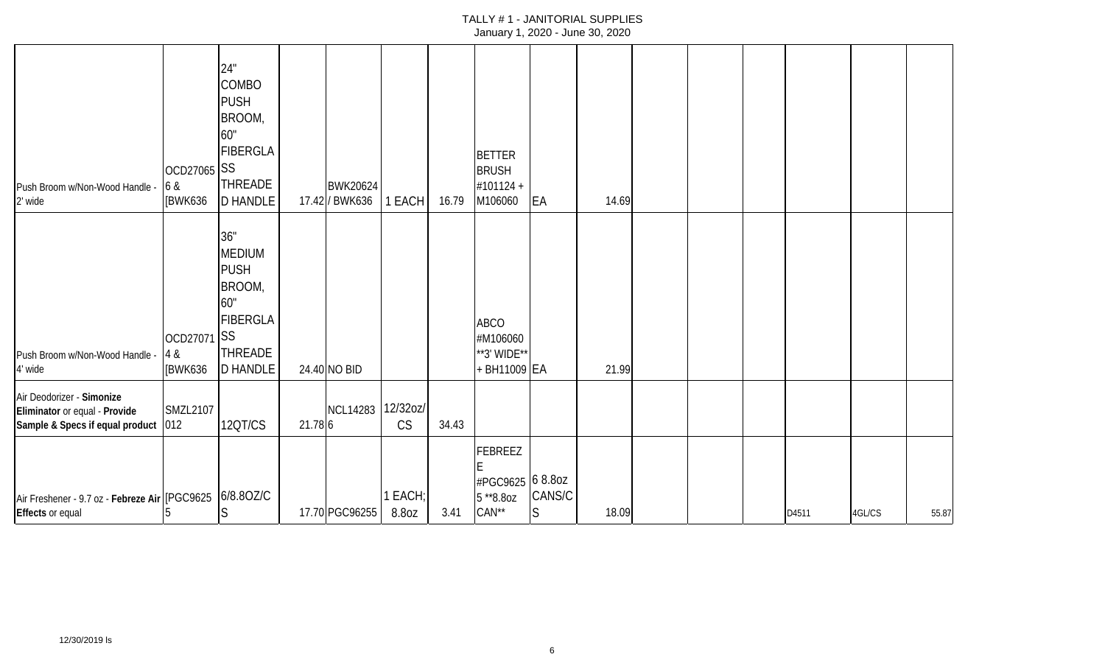| Push Broom w/Non-Wood Handle<br>2' wide                                                           | OCD27065 SS<br>6 &<br>[BWK636        | 24"<br><b>COMBO</b><br><b>PUSH</b><br>BROOM,<br>60"<br><b>FIBERGLA</b><br><b>THREADE</b><br><b>D HANDLE</b>  |         | <b>BWK20624</b><br>17.42 / BWK636 | 1 EACH           | 16.79 | <b>BETTER</b><br><b>BRUSH</b><br>#101124 +<br>M106060 | EA                     | 14.69 |  |       |        |       |
|---------------------------------------------------------------------------------------------------|--------------------------------------|--------------------------------------------------------------------------------------------------------------|---------|-----------------------------------|------------------|-------|-------------------------------------------------------|------------------------|-------|--|-------|--------|-------|
| Push Broom w/Non-Wood Handle -<br>4' wide                                                         | OCD27071 SS<br>4 &<br><b>IBWK636</b> | 36"<br><b>MEDIUM</b><br><b>PUSH</b><br>BROOM,<br>60"<br><b>FIBERGLA</b><br><b>THREADE</b><br><b>D HANDLE</b> |         | 24.40 NO BID                      |                  |       | <b>ABCO</b><br>#M106060<br>**3' WIDE**<br>BH11009 EA  |                        | 21.99 |  |       |        |       |
| Air Deodorizer - Simonize<br>Eliminator or equal - Provide<br>Sample & Specs if equal product 012 | <b>SMZL2107</b>                      | 12QT/CS                                                                                                      | 21.78 6 | NCL14283 12/32oz/                 | <b>CS</b>        | 34.43 |                                                       |                        |       |  |       |        |       |
| Air Freshener - 9.7 oz - Febreze Air (PGC9625 6/8.80Z/C<br>Effects or equal                       | b.                                   | $\overline{S}$                                                                                               |         | 17.70 PGC96255                    | 1 EACH;<br>8.8oz | 3.41  | FEBREEZ<br>#PGC9625 6 8.80Z<br>$5*8.80z$<br>$CAN**$   | CANS/C<br><sub>S</sub> | 18.09 |  | D4511 | 4GL/CS | 55.87 |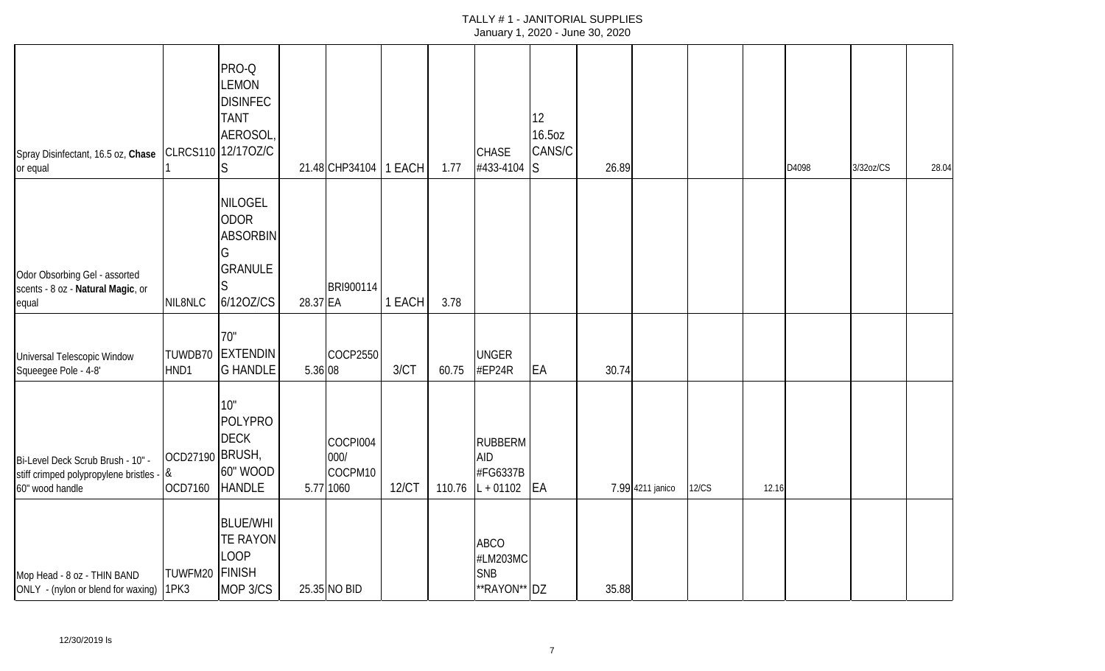| Spray Disinfectant, 16.5 oz, Chase CLRCS110 12/170Z/C<br>or equal                                |                                   | PRO-Q<br><b>LEMON</b><br><b>DISINFEC</b><br><b>TANT</b><br>AEROSOL,<br>S             |          | 21.48 CHP34104   1 EACH                  |        | 1.77   | <b>CHASE</b><br>#433-4104                               | 12<br>16.5oz<br>CANS/C<br><sub>S</sub> | 26.89 |                  |              |       | D4098 | 3/32oz/CS | 28.04 |
|--------------------------------------------------------------------------------------------------|-----------------------------------|--------------------------------------------------------------------------------------|----------|------------------------------------------|--------|--------|---------------------------------------------------------|----------------------------------------|-------|------------------|--------------|-------|-------|-----------|-------|
| Odor Obsorbing Gel - assorted<br>scents - 8 oz - Natural Magic, or<br>equal                      | NIL8NLC                           | <b>NILOGEL</b><br><b>ODOR</b><br><b>ABSORBIN</b><br>G<br><b>GRANULE</b><br>6/120Z/CS | 28.37 EA | BRI900114                                | 1 EACH | 3.78   |                                                         |                                        |       |                  |              |       |       |           |       |
| Universal Telescopic Window<br>Squeegee Pole - 4-8'                                              | HND1                              | 70"<br>TUWDB70 EXTENDIN<br><b>G HANDLE</b>                                           | 5.36 08  | <b>COCP2550</b>                          | 3/CT   | 60.75  | <b>UNGER</b><br>#EP24R                                  | EA                                     | 30.74 |                  |              |       |       |           |       |
| Bi-Level Deck Scrub Brush - 10" -<br>stiff crimped polypropylene bristles - &<br>60" wood handle | OCD27190 BRUSH,<br><b>OCD7160</b> | 10"<br><b>POLYPRO</b><br><b>DECK</b><br>60" WOOD<br><b>HANDLE</b>                    |          | COCPI004<br>000/<br>COCPM10<br>5.77 1060 | 12/CT  | 110.76 | <b>RUBBERM</b><br><b>AID</b><br>#FG6337B<br>$L + 01102$ | <b>EA</b>                              |       | 7.99 4211 janico | <b>12/CS</b> | 12.16 |       |           |       |
| Mop Head - 8 oz - THIN BAND<br>ONLY - (nylon or blend for waxing) 1PK3                           | TUWFM20 FINISH                    | <b>BLUE/WHI</b><br><b>TE RAYON</b><br><b>LOOP</b><br>MOP 3/CS                        |          | 25.35 NO BID                             |        |        | <b>ABCO</b><br>#LM203MC<br><b>SNB</b><br>**RAYON** DZ   |                                        | 35.88 |                  |              |       |       |           |       |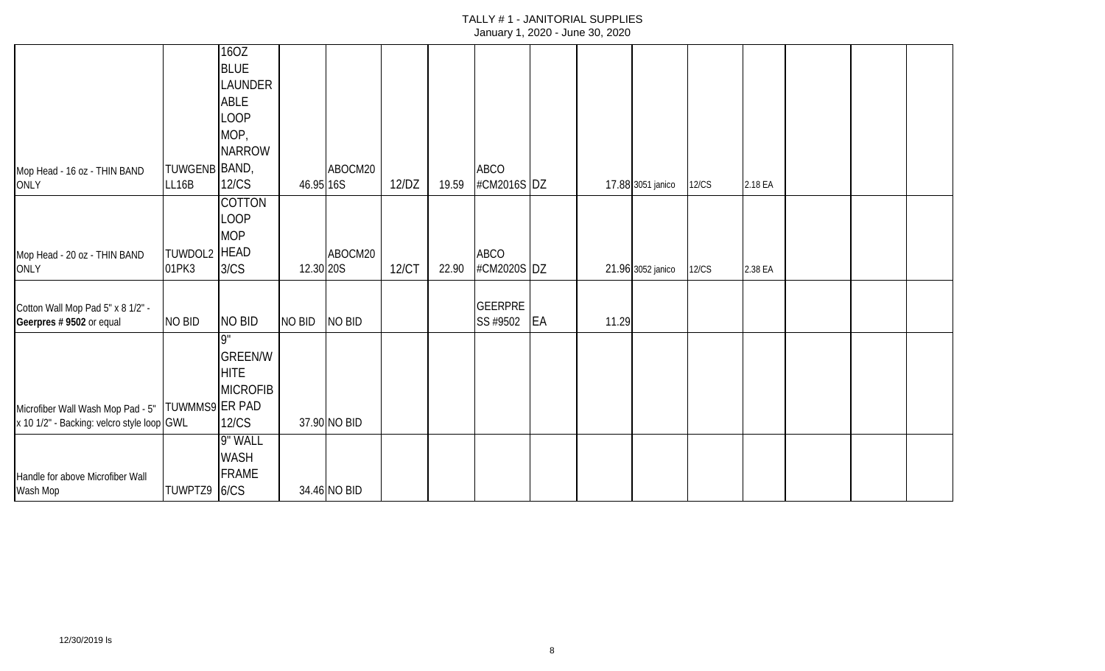|                                                   |               | 160Z            |           |              |       |       |                |    |       |                   |              |         |  |  |
|---------------------------------------------------|---------------|-----------------|-----------|--------------|-------|-------|----------------|----|-------|-------------------|--------------|---------|--|--|
|                                                   |               | <b>BLUE</b>     |           |              |       |       |                |    |       |                   |              |         |  |  |
|                                                   |               | <b>LAUNDER</b>  |           |              |       |       |                |    |       |                   |              |         |  |  |
|                                                   |               | ABLE            |           |              |       |       |                |    |       |                   |              |         |  |  |
|                                                   |               | <b>LOOP</b>     |           |              |       |       |                |    |       |                   |              |         |  |  |
|                                                   |               | MOP,            |           |              |       |       |                |    |       |                   |              |         |  |  |
|                                                   |               | <b>NARROW</b>   |           |              |       |       |                |    |       |                   |              |         |  |  |
| Mop Head - 16 oz - THIN BAND                      | TUWGENB BAND, |                 |           | ABOCM20      |       |       | ABCO           |    |       |                   |              |         |  |  |
| <b>ONLY</b>                                       | LL16B         | <b>12/CS</b>    | 46.95 16S |              | 12/DZ | 19.59 | #CM2016S DZ    |    |       | 17.88 3051 janico | 12/CS        | 2.18 EA |  |  |
|                                                   |               | <b>COTTON</b>   |           |              |       |       |                |    |       |                   |              |         |  |  |
|                                                   |               | <b>LOOP</b>     |           |              |       |       |                |    |       |                   |              |         |  |  |
|                                                   |               | <b>MOP</b>      |           |              |       |       |                |    |       |                   |              |         |  |  |
| Mop Head - 20 oz - THIN BAND                      | TUWDOL2 HEAD  |                 |           | ABOCM20      |       |       | <b>ABCO</b>    |    |       |                   |              |         |  |  |
| <b>ONLY</b>                                       | 01PK3         | 3/CS            | 12.30 20S |              | 12/CT | 22.90 | #CM2020S DZ    |    |       | 21.96 3052 janico | <b>12/CS</b> | 2.38 EA |  |  |
|                                                   |               |                 |           |              |       |       |                |    |       |                   |              |         |  |  |
| Cotton Wall Mop Pad 5" x 8 1/2" -                 |               |                 |           |              |       |       | <b>GEERPRE</b> |    |       |                   |              |         |  |  |
| Geerpres # 9502 or equal                          | NO BID        | NO BID          | NO BID    | NO BID       |       |       | SS #9502       | EA | 11.29 |                   |              |         |  |  |
|                                                   |               | Q"              |           |              |       |       |                |    |       |                   |              |         |  |  |
|                                                   |               | <b>GREEN/W</b>  |           |              |       |       |                |    |       |                   |              |         |  |  |
|                                                   |               | <b>HITE</b>     |           |              |       |       |                |    |       |                   |              |         |  |  |
|                                                   |               | <b>MICROFIB</b> |           |              |       |       |                |    |       |                   |              |         |  |  |
| Microfiber Wall Wash Mop Pad - 5"  TUWMMS9 ER PAD |               |                 |           |              |       |       |                |    |       |                   |              |         |  |  |
| x 10 1/2" - Backing: velcro style loop GWL        |               | <b>12/CS</b>    |           | 37.90 NO BID |       |       |                |    |       |                   |              |         |  |  |
|                                                   |               | 9" WALL         |           |              |       |       |                |    |       |                   |              |         |  |  |
|                                                   |               | <b>WASH</b>     |           |              |       |       |                |    |       |                   |              |         |  |  |
| Handle for above Microfiber Wall                  |               | <b>FRAME</b>    |           |              |       |       |                |    |       |                   |              |         |  |  |
| Wash Mop                                          | TUWPTZ9 6/CS  |                 |           | 34.46 NO BID |       |       |                |    |       |                   |              |         |  |  |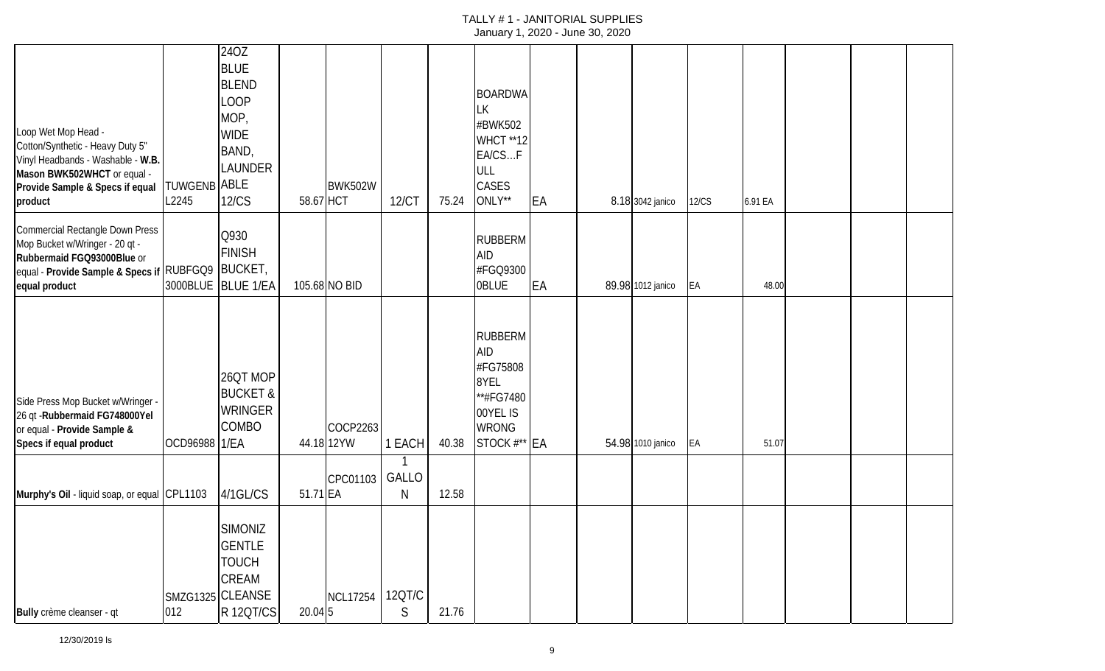| Loop Wet Mop Head -<br>Cotton/Synthetic - Heavy Duty 5"<br>Vinyl Headbands - Washable - W.B.<br>Mason BWK502WHCT or equal -<br>Provide Sample & Specs if equal<br>product | <b>TUWGENB ABLE</b><br>L2245 | 24OZ<br><b>BLUE</b><br><b>BLEND</b><br>LOOP<br>MOP,<br><b>WIDE</b><br>BAND,<br><b>LAUNDER</b><br>12/CS | 58.67 HCT  | BWK502W         | 12/CT       | 75.24 | <b>BOARDWA</b><br>LК<br>#BWK502<br><b>WHCT **12</b><br>EA/CSF<br>ULL<br>CASES<br>ONLY**                   | EA | 8.18 3042 janico  | <b>12/CS</b> | 6.91 EA |  |  |
|---------------------------------------------------------------------------------------------------------------------------------------------------------------------------|------------------------------|--------------------------------------------------------------------------------------------------------|------------|-----------------|-------------|-------|-----------------------------------------------------------------------------------------------------------|----|-------------------|--------------|---------|--|--|
| Commercial Rectangle Down Press<br>Mop Bucket w/Wringer - 20 qt -<br>Rubbermaid FGQ93000Blue or<br>equal - Provide Sample & Specs if RUBFGQ9 BUCKET,<br>equal product     |                              | Q930<br><b>FINISH</b><br>3000BLUE BLUE 1/EA                                                            |            | 105.68 NO BID   |             |       | RUBBERM<br><b>AID</b><br>#FGQ9300<br><b>OBLUE</b>                                                         | EA | 89.98 1012 janico | EA           | 48.00   |  |  |
| Side Press Mop Bucket w/Wringer -<br>26 qt - Rubbermaid FG748000Yel<br>or equal - Provide Sample &<br>Specs if equal product                                              | OCD96988 1/EA                | 26QT MOP<br><b>BUCKET &amp;</b><br><b>WRINGER</b><br><b>COMBO</b>                                      | 44.18 12YW | COCP2263        | 1 EACH      | 40.38 | <b>RUBBERM</b><br><b>AID</b><br>#FG75808<br>8YEL<br>**#FG7480<br>00YEL IS<br><b>WRONG</b><br>STOCK #** EA |    | 54.98 1010 janico | EA           | 51.07   |  |  |
| Murphy's Oil - liquid soap, or equal CPL1103                                                                                                                              |                              | 4/1GL/CS                                                                                               | 51.71 EA   | CPC01103        | GALLO<br>N  | 12.58 |                                                                                                           |    |                   |              |         |  |  |
| Bully crème cleanser - qt                                                                                                                                                 | 012                          | SIMONIZ<br><b>GENTLE</b><br><b>TOUCH</b><br>CREAM<br>SMZG1325 CLEANSE<br>R 120T/CS                     | $20.04$ 5  | <b>NCL17254</b> | 12QT/C<br>S | 21.76 |                                                                                                           |    |                   |              |         |  |  |

12/30/2019 ls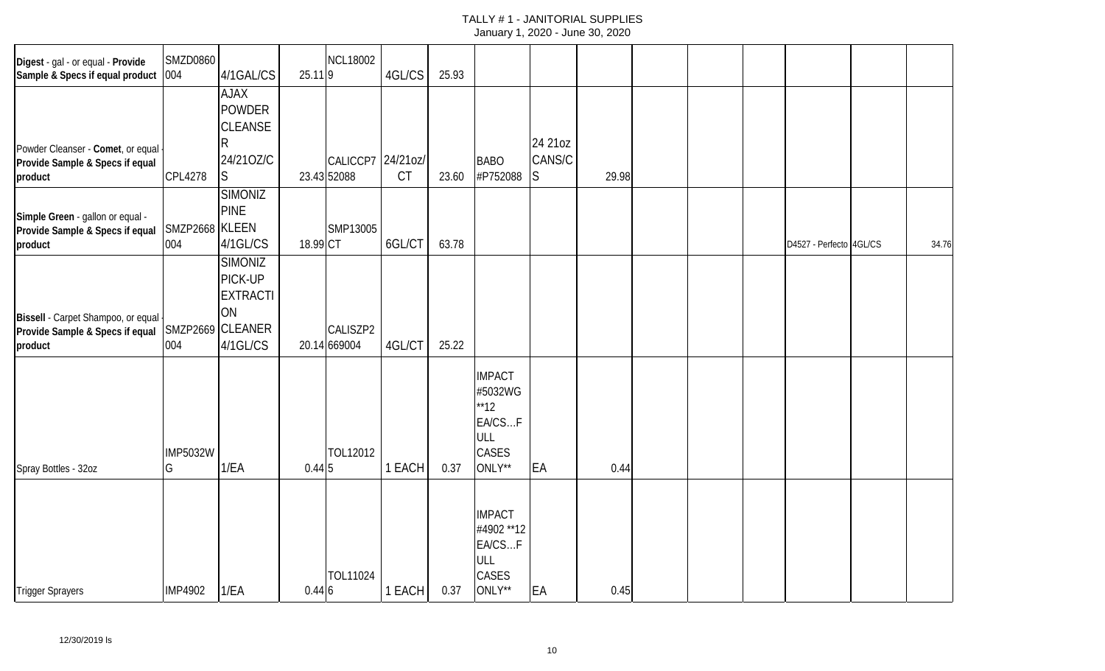| Digest - gal - or equal - Provide<br>Sample & Specs if equal product             | <b>SMZD0860</b><br>004 | 4/1GAL/CS                                                                          | 25.119   | <b>NCL18002</b>                  | 4GL/CS    | 25.93 |                                                                      |                         |       |  |                         |       |
|----------------------------------------------------------------------------------|------------------------|------------------------------------------------------------------------------------|----------|----------------------------------|-----------|-------|----------------------------------------------------------------------|-------------------------|-------|--|-------------------------|-------|
| Powder Cleanser - Comet, or equal<br>Provide Sample & Specs if equal<br>product  | <b>CPL4278</b>         | <b>XALA</b><br><b>POWDER</b><br><b>CLEANSE</b><br>24/210Z/C<br>S                   |          | CALICCP7 24/21oz/<br>23.43 52088 | <b>CT</b> | 23.60 | <b>BABO</b><br>#P752088                                              | 24 21 oz<br>CANS/C<br>S | 29.98 |  |                         |       |
| Simple Green - gallon or equal -<br>Provide Sample & Specs if equal<br>product   | SMZP2668 KLEEN<br>004  | <b>SIMONIZ</b><br><b>PINE</b><br>4/1GL/CS                                          | 18.99 CT | SMP13005                         | 6GL/CT    | 63.78 |                                                                      |                         |       |  | D4527 - Perfecto 4GL/CS | 34.76 |
| Bissell - Carpet Shampoo, or equal<br>Provide Sample & Specs if equal<br>product | 004                    | <b>SIMONIZ</b><br>PICK-UP<br><b>EXTRACTI</b><br>ON<br>SMZP2669 CLEANER<br>4/1GL/CS |          | CALISZP2<br>20.14 669004         | 4GL/CT    | 25.22 |                                                                      |                         |       |  |                         |       |
| Spray Bottles - 32oz                                                             | <b>IMP5032W</b><br>G   | 1/EA                                                                               | 0.445    | TOL12012                         | 1 EACH    | 0.37  | <b>IMPACT</b><br>#5032WG<br>**12<br>EA/CSF<br>ULL<br>CASES<br>ONLY** | EA                      | 0.44  |  |                         |       |
| <b>Trigger Sprayers</b>                                                          | <b>IMP4902</b>         | 1/EA                                                                               | 0.446    | TOL11024                         | 1 EACH    | 0.37  | <b>IMPACT</b><br>#4902 ** 12<br>EA/CSF<br>ULL<br>CASES<br>ONLY**     | EA                      | 0.45  |  |                         |       |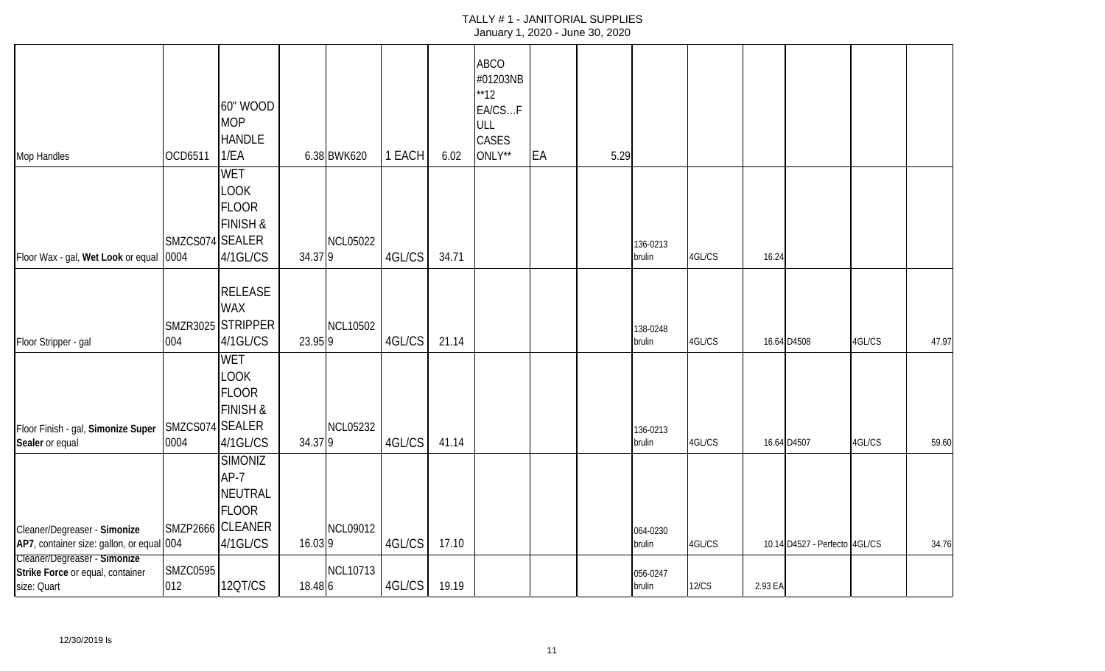| Mop Handles                                                                                               | OCD6511                 | 60" WOOD<br><b>MOP</b><br><b>HANDLE</b><br>1/EA                                     |         | 6.38 BWK620     | 1 EACH | 6.02  | <b>ABCO</b><br>#01203NB<br>**12<br>EA/CSF<br>ULL<br>CASES<br>ONLY** | EA | 5.29 |                    |        |         |                               |        |       |
|-----------------------------------------------------------------------------------------------------------|-------------------------|-------------------------------------------------------------------------------------|---------|-----------------|--------|-------|---------------------------------------------------------------------|----|------|--------------------|--------|---------|-------------------------------|--------|-------|
| Floor Wax - gal, Wet Look or equal                                                                        | SMZCS074 SEALER<br>0004 | <b>WET</b><br><b>LOOK</b><br><b>FLOOR</b><br><b>FINISH &amp;</b><br>4/1GL/CS        | 34.379  | <b>NCL05022</b> | 4GL/CS | 34.71 |                                                                     |    |      | 136-0213<br>brulin | 4GL/CS | 16.24   |                               |        |       |
| Floor Stripper - gal                                                                                      | 004                     | <b>RELEASE</b><br><b>WAX</b><br>SMZR3025 STRIPPER<br>4/1GL/CS                       | 23.95 9 | <b>NCL10502</b> | 4GL/CS | 21.14 |                                                                     |    |      | 138-0248<br>brulin | 4GL/CS |         | 16.64 D4508                   | 4GL/CS | 47.97 |
| Floor Finish - gal, Simonize Super<br>Sealer or equal                                                     | SMZCS074 SEALER<br>0004 | <b>WET</b><br><b>LOOK</b><br><b>FLOOR</b><br><b>FINISH &amp;</b><br>4/1GL/CS        | 34.379  | <b>NCL05232</b> | 4GL/CS | 41.14 |                                                                     |    |      | 136-0213<br>brulin | 4GL/CS |         | 16.64 D4507                   | 4GL/CS | 59.60 |
| Cleaner/Degreaser - Simonize<br>AP7, container size: gallon, or equal 004<br>Cleaner/Degreaser - Simonize |                         | <b>SIMONIZ</b><br>$AP-7$<br><b>NEUTRAL</b><br>FLOOR<br>SMZP2666 CLEANER<br>4/1GL/CS | 16.039  | <b>NCL09012</b> | 4GL/CS | 17.10 |                                                                     |    |      | 064-0230<br>brulin | 4GL/CS |         | 10.14 D4527 - Perfecto 4GL/CS |        | 34.76 |
| Strike Force or equal, container<br>size: Quart                                                           | <b>SMZC0595</b><br>012  | 12QT/CS                                                                             | 18.48 6 | <b>NCL10713</b> | 4GL/CS | 19.19 |                                                                     |    |      | 056-0247<br>brulin | 12/CS  | 2.93 EA |                               |        |       |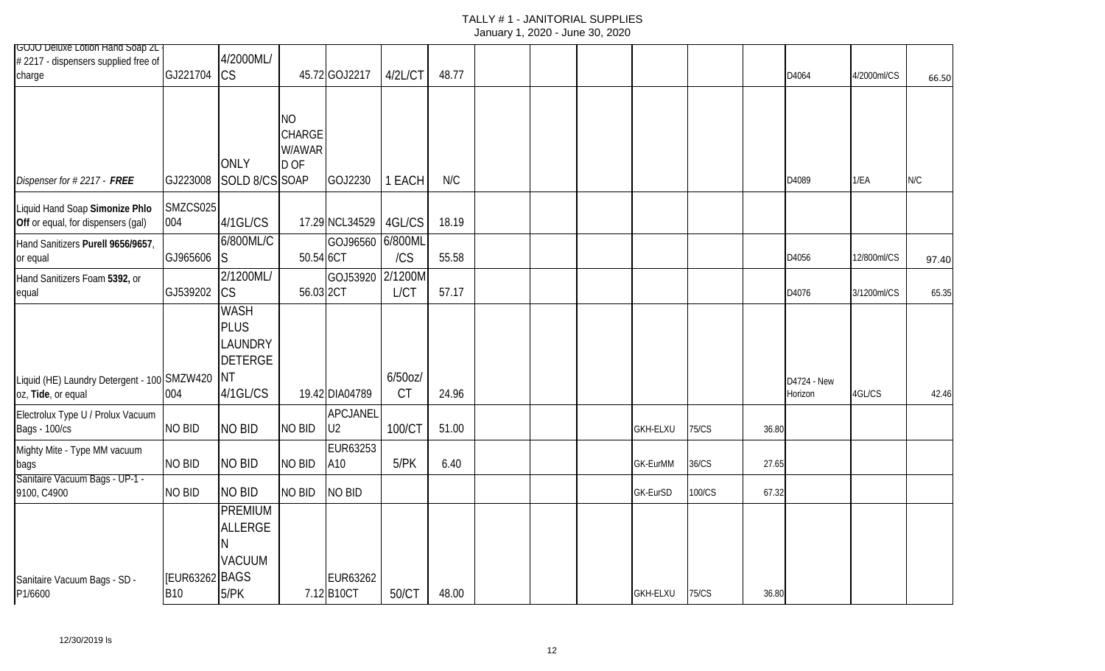# TALLY # 1 - JANITORIAL SUPPLIES

|  | January 1, 2020 - June 30, 2020 |  |  |
|--|---------------------------------|--|--|
|--|---------------------------------|--|--|

| 4/2000ML/                                                                                                                                                                                                            |                                                                     |                          |                                                                                                                                       |                                                         |       |  |                                                            |              |                        |             |       |
|----------------------------------------------------------------------------------------------------------------------------------------------------------------------------------------------------------------------|---------------------------------------------------------------------|--------------------------|---------------------------------------------------------------------------------------------------------------------------------------|---------------------------------------------------------|-------|--|------------------------------------------------------------|--------------|------------------------|-------------|-------|
| <b>CS</b>                                                                                                                                                                                                            |                                                                     |                          | 4/2L/CT                                                                                                                               | 48.77                                                   |       |  |                                                            |              | D4064                  | 4/2000ml/CS | 66.50 |
| <b>ONLY</b>                                                                                                                                                                                                          | <b>NO</b><br>D OF                                                   |                          | 1 EACH                                                                                                                                | N/C                                                     |       |  |                                                            |              | D4089                  | 1/EA        | N/C   |
| 4/1GL/CS                                                                                                                                                                                                             |                                                                     |                          | 4GL/CS                                                                                                                                | 18.19                                                   |       |  |                                                            |              |                        |             |       |
| 6/800ML/C<br>S                                                                                                                                                                                                       |                                                                     |                          | /CS                                                                                                                                   | 55.58                                                   |       |  |                                                            |              | D4056                  | 12/800ml/CS | 97.40 |
| 2/1200ML/<br><b>CS</b>                                                                                                                                                                                               |                                                                     |                          | 2/1200M<br><b>L/CT</b>                                                                                                                | 57.17                                                   |       |  |                                                            |              | D4076                  | 3/1200ml/CS | 65.35 |
| <b>PLUS</b><br>LAUNDRY<br><b>DETERGE</b><br>ΝT<br>4/1GL/CS                                                                                                                                                           |                                                                     |                          | $6/50$ oz $/$<br><b>CT</b>                                                                                                            | 24.96                                                   |       |  |                                                            |              | D4724 - New<br>Horizon | 4GL/CS      | 42.46 |
| NO BID                                                                                                                                                                                                               | NO BID                                                              | APCJANEL<br>U2           | 100/CT                                                                                                                                | 51.00                                                   |       |  | <b>75/CS</b>                                               | 36.80        |                        |             |       |
| <b>NO BID</b>                                                                                                                                                                                                        | <b>NO BID</b>                                                       | EUR63253                 | 5/PK                                                                                                                                  | 6.40                                                    |       |  | 36/CS                                                      | 27.65        |                        |             |       |
| <b>NO BID</b>                                                                                                                                                                                                        |                                                                     |                          |                                                                                                                                       |                                                         |       |  | 100/CS                                                     | 67.32        |                        |             |       |
| <b>ALLERGE</b><br><b>VACUUM</b>                                                                                                                                                                                      |                                                                     | EUR63262                 |                                                                                                                                       |                                                         |       |  |                                                            |              |                        |             |       |
| <b>GOJO Deluxe Lotion Hand Soap 2L</b><br>GJ221704<br>GJ223008<br>004<br>GJ965606<br>GJ539202<br>Liquid (HE) Laundry Detergent - 100 SMZW420<br>004<br><b>NO BID</b><br><b>NO BID</b><br><b>NO BID</b><br><b>B10</b> | SMZCS025<br><b>WASH</b><br><b>PREMIUM</b><br>[EUR63262 BAGS<br>5/PK | SOLD 8/CS SOAP<br>NO BID | 45.72 GOJ2217<br><b>CHARGE</b><br>W/AWAR<br>GOJ2230<br>50.54 6CT<br>56.03 2CT<br>19.42 DIA04789<br>A10<br><b>NO BID</b><br>7.12 B10CT | 17.29 NCL34529<br>GOJ96560 6/800ML<br>GOJ53920<br>50/CT | 48.00 |  | <b>GKH-ELXU</b><br>GK-EurMM<br>GK-EurSD<br><b>GKH-ELXU</b> | <b>75/CS</b> |                        | 36.80       |       |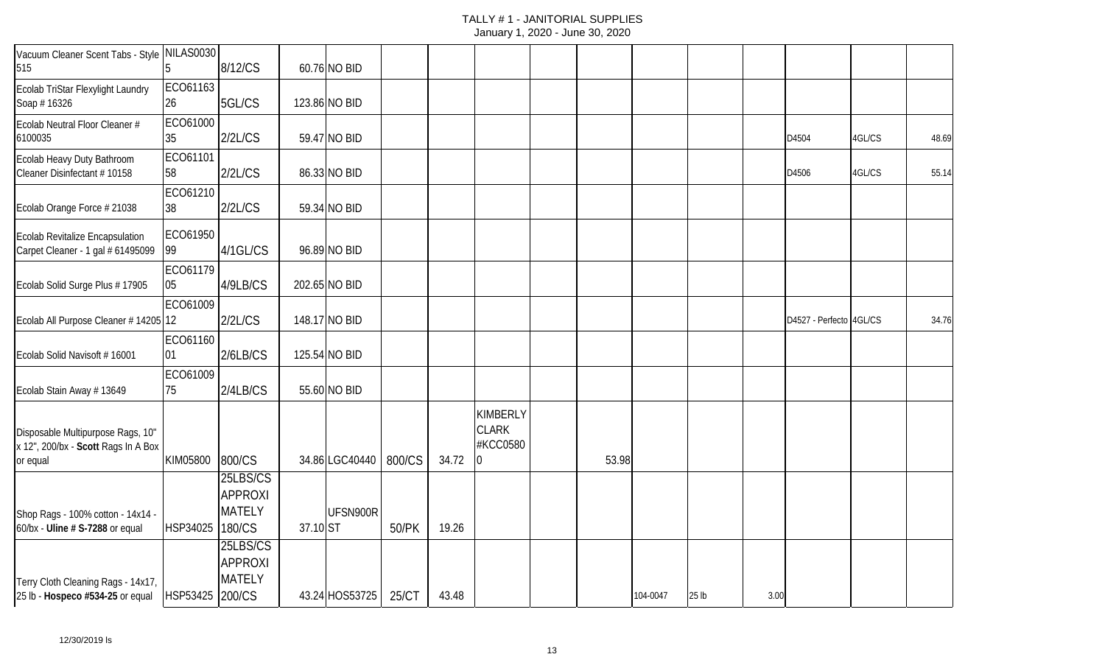## TALLY # 1 - JANITORIAL SUPPLIES

| Vacuum Cleaner Scent Tabs - Style NILAS0030<br>515                                   |                 | 8/12/CS                                               |          | 60.76 NO BID   |        |       |                                                  |       |          |                  |      |                         |        |       |
|--------------------------------------------------------------------------------------|-----------------|-------------------------------------------------------|----------|----------------|--------|-------|--------------------------------------------------|-------|----------|------------------|------|-------------------------|--------|-------|
| Ecolab TriStar Flexylight Laundry<br>Soap #16326                                     | ECO61163<br>26  | 5GL/CS                                                |          | 123.86 NO BID  |        |       |                                                  |       |          |                  |      |                         |        |       |
| Ecolab Neutral Floor Cleaner #<br>6100035                                            | ECO61000<br>35  | 2/2L/CS                                               |          | 59.47 NO BID   |        |       |                                                  |       |          |                  |      | D4504                   | 4GL/CS | 48.69 |
| Ecolab Heavy Duty Bathroom<br>Cleaner Disinfectant # 10158                           | ECO61101<br>58  | 2/2L/CS                                               |          | 86.33 NO BID   |        |       |                                                  |       |          |                  |      | D4506                   | 4GL/CS | 55.14 |
| Ecolab Orange Force # 21038                                                          | ECO61210<br>38  | 2/2L/CS                                               |          | 59.34 NO BID   |        |       |                                                  |       |          |                  |      |                         |        |       |
| <b>Ecolab Revitalize Encapsulation</b><br>Carpet Cleaner - 1 gal # 61495099          | ECO61950<br>99  | 4/1GL/CS                                              |          | 96.89 NO BID   |        |       |                                                  |       |          |                  |      |                         |        |       |
| Ecolab Solid Surge Plus #17905                                                       | ECO61179<br>05  | 4/9LB/CS                                              |          | 202.65 NO BID  |        |       |                                                  |       |          |                  |      |                         |        |       |
| Ecolab All Purpose Cleaner # 14205 12                                                | ECO61009        | 2/2L/CS                                               |          | 148.17 NO BID  |        |       |                                                  |       |          |                  |      | D4527 - Perfecto 4GL/CS |        | 34.76 |
| Ecolab Solid Navisoft #16001                                                         | ECO61160<br> 01 | 2/6LB/CS                                              |          | 125.54 NO BID  |        |       |                                                  |       |          |                  |      |                         |        |       |
| Ecolab Stain Away # 13649                                                            | ECO61009<br>75  | 2/4LB/CS                                              |          | 55.60 NO BID   |        |       |                                                  |       |          |                  |      |                         |        |       |
| Disposable Multipurpose Rags, 10"<br>x 12", 200/bx - Scott Rags In A Box<br>or equal | KIM05800        | 800/CS                                                |          | 34.86 LGC40440 | 800/CS | 34.72 | <b>KIMBERLY</b><br><b>CLARK</b><br>#KCC0580<br>0 | 53.98 |          |                  |      |                         |        |       |
| Shop Rags - 100% cotton - 14x14 -<br>60/bx - Uline # S-7288 or equal                 | HSP34025        | 25LBS/CS<br><b>APPROXI</b><br><b>MATELY</b><br>180/CS | 37.10 ST | UFSN900R       | 50/PK  | 19.26 |                                                  |       |          |                  |      |                         |        |       |
| Terry Cloth Cleaning Rags - 14x17,<br>25 lb - Hospeco #534-25 or equal               | HSP53425 200/CS | 25LBS/CS<br><b>APPROXI</b><br><b>MATELY</b>           |          | 43.24 HOS53725 | 25/CT  | 43.48 |                                                  |       | 104-0047 | 25 <sub>lb</sub> | 3.00 |                         |        |       |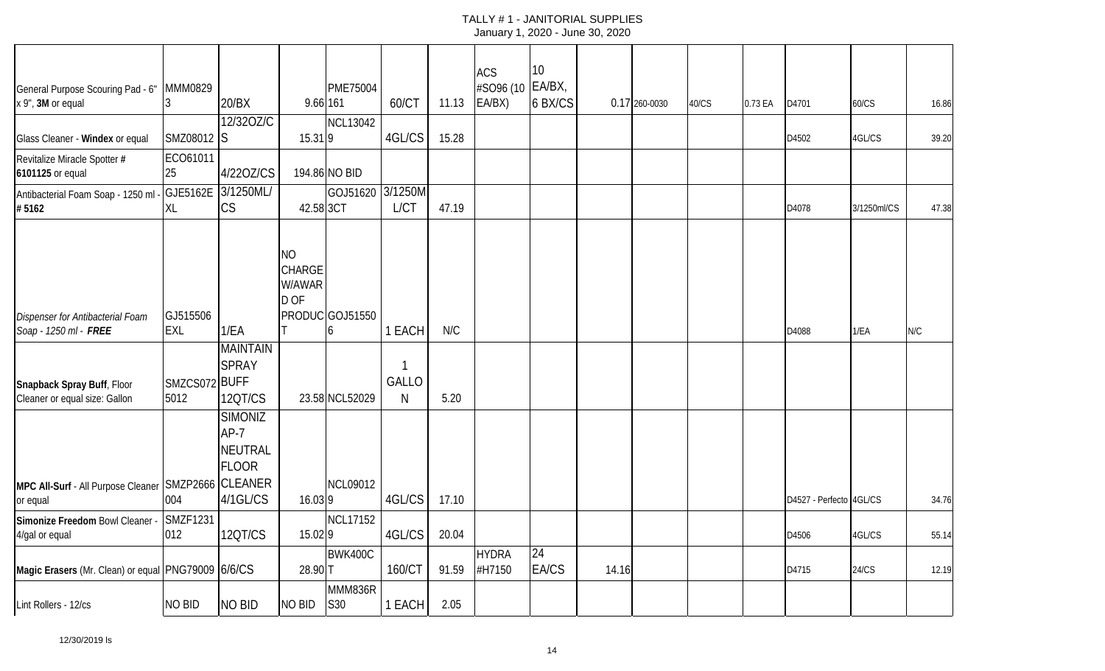| General Purpose Scouring Pad - 6"<br>x 9", 3M or equal          | <b>MMM0829</b><br>13   | 20/BX<br>12/320Z/C                                                           | 9.66 161                                     | <b>PME75004</b>      | 60/CT       | 11.13 | <b>ACS</b><br>#SO96 (10 EA/BX,<br>EA/BX) | 10<br>6 BX/CS            |       | 0.17 260-0030 | 40/CS | 0.73 EA | D4701                   | 60/CS       | 16.86 |
|-----------------------------------------------------------------|------------------------|------------------------------------------------------------------------------|----------------------------------------------|----------------------|-------------|-------|------------------------------------------|--------------------------|-------|---------------|-------|---------|-------------------------|-------------|-------|
| Glass Cleaner - Windex or equal                                 | SMZ08012 S             |                                                                              | 15.319                                       | <b>NCL13042</b>      | 4GL/CS      | 15.28 |                                          |                          |       |               |       |         | D4502                   | 4GL/CS      | 39.20 |
| Revitalize Miracle Spotter #<br>6101125 or equal                | ECO61011<br>25         | 4/220Z/CS                                                                    |                                              | 194.86 NO BID        |             |       |                                          |                          |       |               |       |         |                         |             |       |
| Antibacterial Foam Soap - 1250 ml<br>#5162                      | GJE5162E<br><b>XL</b>  | 3/1250ML/<br><b>CS</b>                                                       | 42.58 3CT                                    | GOJ51620 3/1250M     | <b>L/CT</b> | 47.19 |                                          |                          |       |               |       |         | D4078                   | 3/1250ml/CS | 47.38 |
| Dispenser for Antibacterial Foam<br>Soap - 1250 ml - FREE       | GJ515506<br><b>EXL</b> | 1/EA                                                                         | <b>NO</b><br><b>CHARGE</b><br>W/AWAR<br>D OF | PRODUC GOJ51550<br>h | 1 EACH      | N/C   |                                          |                          |       |               |       |         | D4088                   | 1/EA        | N/C   |
| Snapback Spray Buff, Floor                                      | SMZCS072 BUFF          | <b>MAINTAIN</b><br><b>SPRAY</b>                                              |                                              |                      | GALLO       |       |                                          |                          |       |               |       |         |                         |             |       |
| Cleaner or equal size: Gallon                                   | 5012                   | <b>120T/CS</b><br><b>SIMONIZ</b><br>$AP-7$<br><b>NEUTRAL</b><br><b>FLOOR</b> |                                              | 23.58 NCL52029       | N           | 5.20  |                                          |                          |       |               |       |         |                         |             |       |
| MPC All-Surf - All Purpose Cleaner SMZP2666 CLEANER<br>or equal | 004                    | 4/1GL/CS                                                                     | 16.039                                       | <b>NCL09012</b>      | 4GL/CS      | 17.10 |                                          |                          |       |               |       |         | D4527 - Perfecto 4GL/CS |             | 34.76 |
| Simonize Freedom Bowl Cleaner -<br>4/gal or equal               | <b>SMZF1231</b><br>012 | 12QT/CS                                                                      | 15.029                                       | <b>NCL17152</b>      | 4GL/CS      | 20.04 |                                          |                          |       |               |       |         | D4506                   | 4GL/CS      | 55.14 |
| Magic Erasers (Mr. Clean) or equal PNG79009 6/6/CS              |                        |                                                                              | 28.90 T                                      | <b>BWK400C</b>       | 160/CT      | 91.59 | <b>HYDRA</b><br>#H7150                   | $\overline{24}$<br>EA/CS | 14.16 |               |       |         | D4715                   | 24/CS       | 12.19 |
| Lint Rollers - 12/cs                                            | NO BID                 | <b>NO BID</b>                                                                | NO BID                                       | MMM836R<br>S30       | 1 EACH      | 2.05  |                                          |                          |       |               |       |         |                         |             |       |

12/30/2019 ls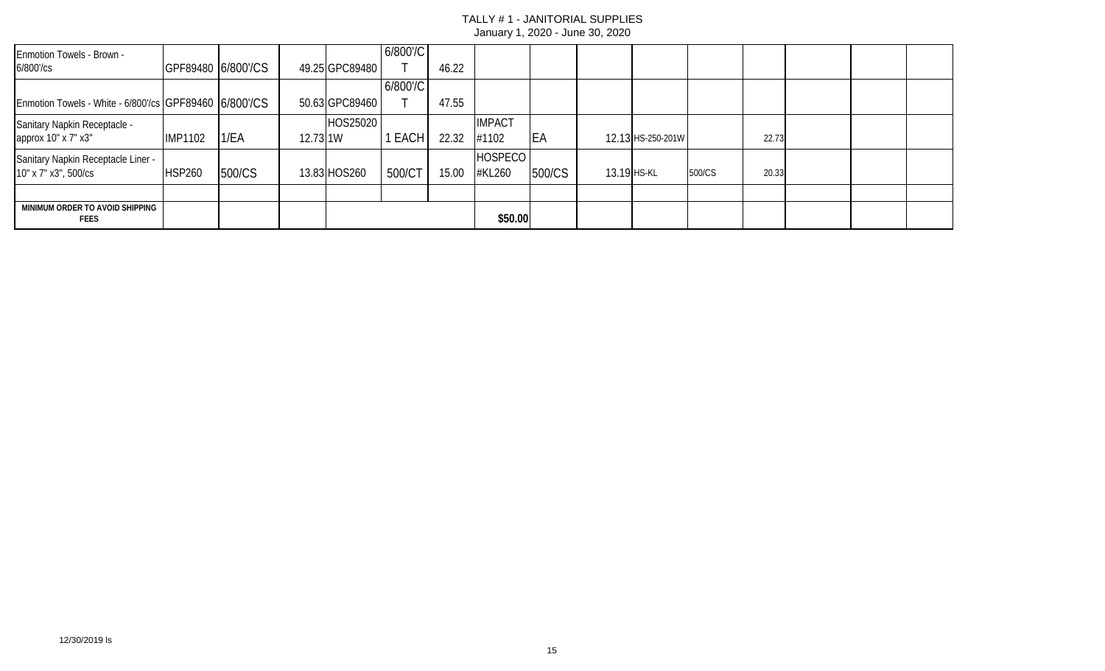| Enmotion Towels - Brown -<br>$6/800$ '/cs              | GPF89480 6/800'/CS |        |          | 49.25 GPC89480 | 6/800'/C | 46.22 |                |            |             |                   |        |       |  |  |
|--------------------------------------------------------|--------------------|--------|----------|----------------|----------|-------|----------------|------------|-------------|-------------------|--------|-------|--|--|
|                                                        |                    |        |          |                | 6/800'/C |       |                |            |             |                   |        |       |  |  |
| Enmotion Towels - White - 6/800'/cs GPF89460 6/800'/CS |                    |        |          | 50.63 GPC89460 |          | 47.55 |                |            |             |                   |        |       |  |  |
| Sanitary Napkin Receptacle -                           |                    |        |          | HOS25020       |          |       | <b>IMPACT</b>  |            |             |                   |        |       |  |  |
| approx 10" x 7" x3"                                    | <b>IMP1102</b>     | 1/EA   | 12.73 1W |                | 1 EACH   | 22.32 | #1102          | <b>IEA</b> |             | 12.13 HS-250-201W |        | 22.73 |  |  |
| Sanitary Napkin Receptacle Liner -                     |                    |        |          |                |          |       | <b>HOSPECO</b> |            |             |                   |        |       |  |  |
| 10" x 7" x3", 500/cs                                   | <b>HSP260</b>      | 500/CS |          | 13.83 HOS260   | 500/CT   | 15.00 | #KL260         | 500/CS     | 13.19 HS-KL |                   | 500/CS | 20.33 |  |  |
|                                                        |                    |        |          |                |          |       |                |            |             |                   |        |       |  |  |
| MINIMUM ORDER TO AVOID SHIPPING<br><b>FEES</b>         |                    |        |          |                |          |       | \$50.00        |            |             |                   |        |       |  |  |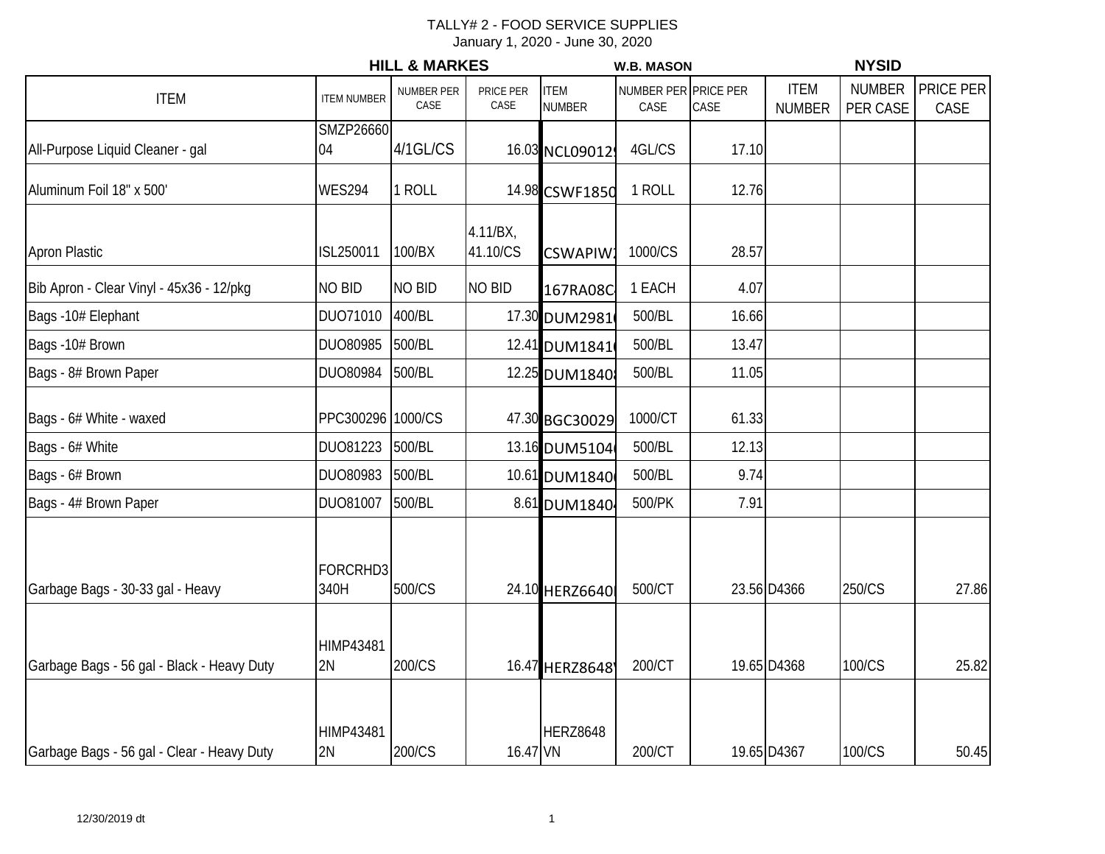|                                            |                        | <b>HILL &amp; MARKES</b>  |                      |                              | <b>W.B. MASON</b>            |       |                              | <b>NYSID</b>              |                   |
|--------------------------------------------|------------------------|---------------------------|----------------------|------------------------------|------------------------------|-------|------------------------------|---------------------------|-------------------|
| <b>ITEM</b>                                | <b>ITEM NUMBER</b>     | <b>NUMBER PER</b><br>CASE | PRICE PER<br>CASE    | <b>ITEM</b><br><b>NUMBER</b> | NUMBER PER PRICE PER<br>CASE | CASE  | <b>ITEM</b><br><b>NUMBER</b> | <b>NUMBER</b><br>PER CASE | PRICE PER<br>CASE |
| All-Purpose Liquid Cleaner - gal           | <b>SMZP26660</b><br>04 | 4/1GL/CS                  |                      | 16.03 NCL09012               | 4GL/CS                       | 17.10 |                              |                           |                   |
| Aluminum Foil 18" x 500'                   | <b>WES294</b>          | 1 ROLL                    |                      | 14.98 CSWF1850               | 1 ROLL                       | 12.76 |                              |                           |                   |
| <b>Apron Plastic</b>                       | ISL250011              | 100/BX                    | 4.11/BX,<br>41.10/CS | <b>CSWAPIW</b>               | 1000/CS                      | 28.57 |                              |                           |                   |
| Bib Apron - Clear Vinyl - 45x36 - 12/pkg   | <b>NO BID</b>          | <b>NO BID</b>             | <b>NO BID</b>        | 167RA08C                     | 1 EACH                       | 4.07  |                              |                           |                   |
| Bags -10# Elephant                         | DUO71010               | 400/BL                    |                      | 17.30 DUM2981                | 500/BL                       | 16.66 |                              |                           |                   |
| Bags -10# Brown                            | DUO80985               | 500/BL                    |                      | 12.41 DUM1841                | 500/BL                       | 13.47 |                              |                           |                   |
| Bags - 8# Brown Paper                      | DUO80984               | 500/BL                    |                      | 12.25 DUM1840                | 500/BL                       | 11.05 |                              |                           |                   |
| Bags - 6# White - waxed                    | PPC300296 1000/CS      |                           |                      | 47 30 BGC30029               | 1000/CT                      | 61.33 |                              |                           |                   |
| Bags - 6# White                            | DUO81223               | 500/BL                    |                      | 13.16 DUM5104                | 500/BL                       | 12.13 |                              |                           |                   |
| Bags - 6# Brown                            | DUO80983               | 500/BL                    |                      | 10.61 DUM1840                | 500/BL                       | 9.74  |                              |                           |                   |
| Bags - 4# Brown Paper                      | DUO81007               | 500/BL                    |                      | 8.61 DUM1840                 | 500/PK                       | 7.91  |                              |                           |                   |
| Garbage Bags - 30-33 gal - Heavy           | FORCRHD3<br>340H       | 500/CS                    |                      | 24.10 HERZ6640               | 500/CT                       |       | 23.56 D4366                  | 250/CS                    | 27.86             |
| Garbage Bags - 56 gal - Black - Heavy Duty | <b>HIMP43481</b><br>2N | 200/CS                    |                      | 16.47 HERZ8648               | 200/CT                       |       | 19.65 D4368                  | 100/CS                    | 25.82             |
| Garbage Bags - 56 gal - Clear - Heavy Duty | <b>HIMP43481</b><br>2N | 200/CS                    | 16.47 VN             | <b>HERZ8648</b>              | 200/CT                       |       | 19.65 D4367                  | 100/CS                    | 50.45             |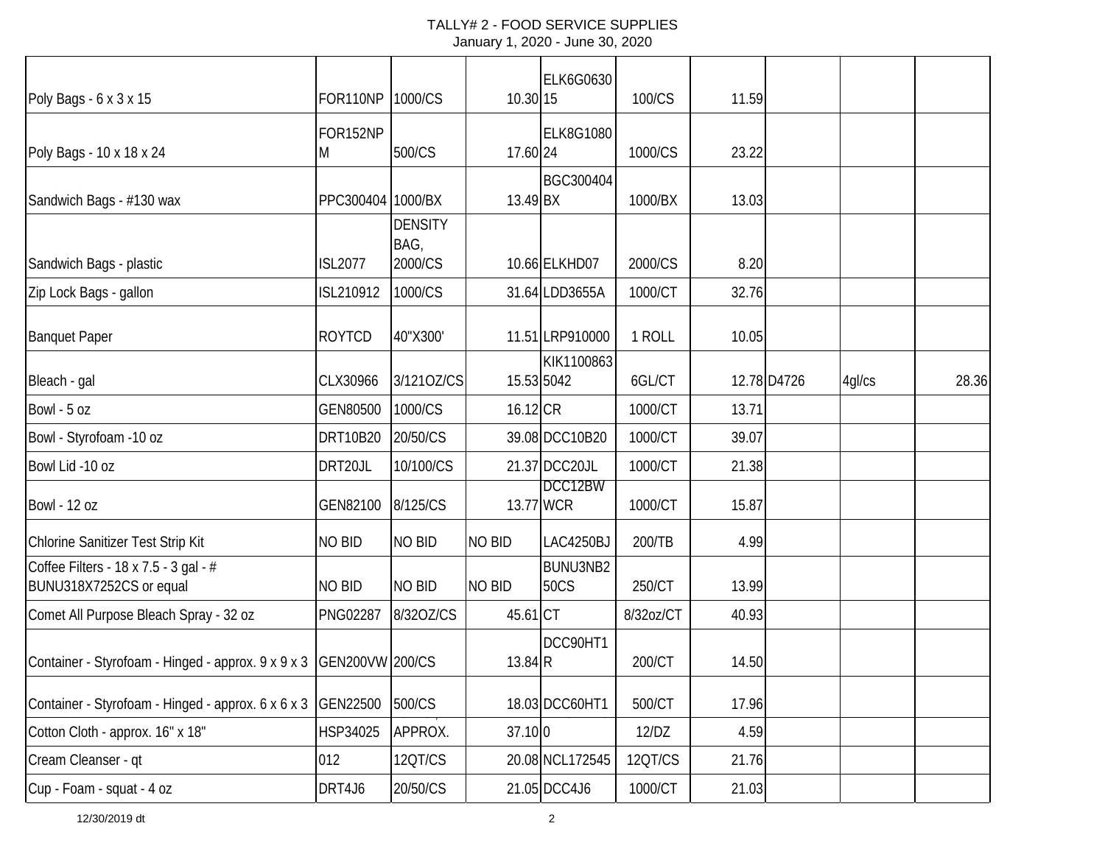| Poly Bags - 6 x 3 x 15                                           | FOR110NP          | 1000/CS                           | 10.30 15      | <b>ELK6G0630</b>         | 100/CS    | 11.59 |             |        |       |
|------------------------------------------------------------------|-------------------|-----------------------------------|---------------|--------------------------|-----------|-------|-------------|--------|-------|
| Poly Bags - 10 x 18 x 24                                         | FOR152NP<br>M     | 500/CS                            | 17.60 24      | <b>ELK8G1080</b>         | 1000/CS   | 23.22 |             |        |       |
| Sandwich Bags - #130 wax                                         | PPC300404 1000/BX |                                   | 13.49 BX      | BGC300404                | 1000/BX   | 13.03 |             |        |       |
| Sandwich Bags - plastic                                          | <b>ISL2077</b>    | <b>DENSITY</b><br>BAG,<br>2000/CS |               | 10.66 ELKHD07            | 2000/CS   | 8.20  |             |        |       |
| Zip Lock Bags - gallon                                           | ISL210912         | 1000/CS                           |               | 31.64 LDD3655A           | 1000/CT   | 32.76 |             |        |       |
| <b>Banquet Paper</b>                                             | <b>ROYTCD</b>     | 40"X300'                          |               | 11.51 LRP910000          | 1 ROLL    | 10.05 |             |        |       |
| Bleach - gal                                                     | CLX30966          | 3/1210Z/CS                        |               | KIK1100863<br>15.53 5042 | 6GL/CT    |       | 12.78 D4726 | 4gl/cs | 28.36 |
| Bowl - 5 oz                                                      | GEN80500          | 1000/CS                           | 16.12 CR      |                          | 1000/CT   | 13.71 |             |        |       |
| Bowl - Styrofoam -10 oz                                          | <b>DRT10B20</b>   | 20/50/CS                          |               | 39.08 DCC10B20           | 1000/CT   | 39.07 |             |        |       |
| Bowl Lid -10 oz                                                  | DRT20JL           | 10/100/CS                         |               | 21.37 DCC20JL            | 1000/CT   | 21.38 |             |        |       |
| <b>Bowl - 12 oz</b>                                              | GEN82100          | 8/125/CS                          |               | DCC12BW<br>13.77 WCR     | 1000/CT   | 15.87 |             |        |       |
| Chlorine Sanitizer Test Strip Kit                                | <b>NO BID</b>     | NO BID                            | <b>NO BID</b> | LAC4250BJ                | 200/TB    | 4.99  |             |        |       |
| Coffee Filters - 18 x 7.5 - 3 gal - #<br>BUNU318X7252CS or equal | <b>NO BID</b>     | <b>NO BID</b>                     | <b>NO BID</b> | BUNU3NB2<br><b>50CS</b>  | 250/CT    | 13.99 |             |        |       |
| Comet All Purpose Bleach Spray - 32 oz                           | <b>PNG02287</b>   | 8/320Z/CS                         | 45.61 CT      |                          | 8/32oz/CT | 40.93 |             |        |       |
| Container - Styrofoam - Hinged - approx. 9 x 9 x 3               | GEN200VW 200/CS   |                                   | 13.84 R       | DCC90HT1                 | 200/CT    | 14.50 |             |        |       |
| Container - Styrofoam - Hinged - approx. 6 x 6 x 3               | GEN22500          | 500/CS                            |               | 18.03 DCC60HT1           | 500/CT    | 17.96 |             |        |       |
| Cotton Cloth - approx. 16" x 18"                                 | HSP34025          | APPROX.                           | 37.10 0       |                          | 12/DZ     | 4.59  |             |        |       |
| Cream Cleanser - qt                                              | 012               | 12QT/CS                           |               | 20.08 NCL172545          | 12QT/CS   | 21.76 |             |        |       |
| Cup - Foam - squat - 4 oz                                        | DRT4J6            | 20/50/CS                          |               | 21.05 DCC4J6             | 1000/CT   | 21.03 |             |        |       |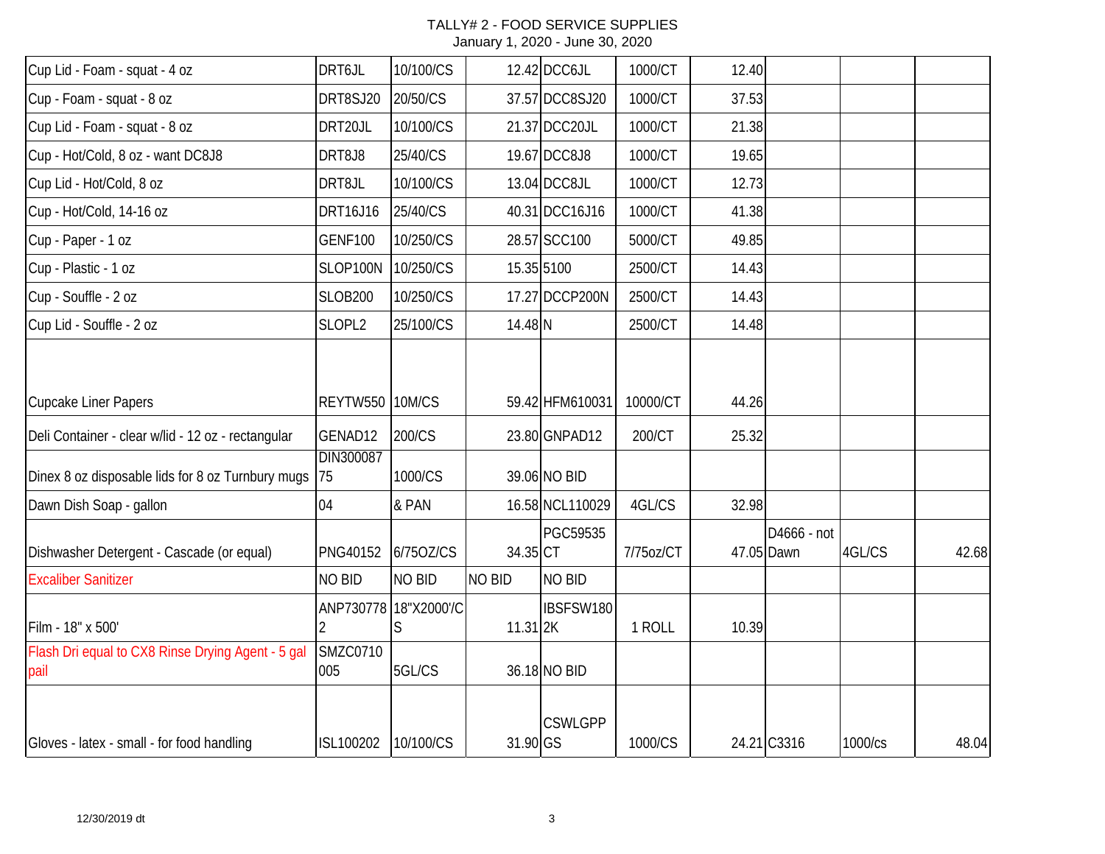| Cup Lid - Foam - squat - 4 oz                             | DRT6JL                 | 10/100/CS             |                     | 12.42 DCC6JL    | 1000/CT   | 12.40 |                           |         |       |
|-----------------------------------------------------------|------------------------|-----------------------|---------------------|-----------------|-----------|-------|---------------------------|---------|-------|
| Cup - Foam - squat - 8 oz                                 | DRT8SJ20               | 20/50/CS              |                     | 37.57 DCC8SJ20  | 1000/CT   | 37.53 |                           |         |       |
| Cup Lid - Foam - squat - 8 oz                             | DRT20JL                | 10/100/CS             |                     | 21.37 DCC20JL   | 1000/CT   | 21.38 |                           |         |       |
| Cup - Hot/Cold, 8 oz - want DC8J8                         | DRT8J8                 | 25/40/CS              |                     | 19.67 DCC8J8    | 1000/CT   | 19.65 |                           |         |       |
| Cup Lid - Hot/Cold, 8 oz                                  | DRT8JL                 | 10/100/CS             |                     | 13.04 DCC8JL    | 1000/CT   | 12.73 |                           |         |       |
| Cup - Hot/Cold, 14-16 oz                                  | DRT16J16               | 25/40/CS              |                     | 40.31 DCC16J16  | 1000/CT   | 41.38 |                           |         |       |
| Cup - Paper - 1 oz                                        | <b>GENF100</b>         | 10/250/CS             |                     | 28.57 SCC100    | 5000/CT   | 49.85 |                           |         |       |
| Cup - Plastic - 1 oz                                      | SLOP100N               | 10/250/CS             |                     | 15.35 5100      | 2500/CT   | 14.43 |                           |         |       |
| Cup - Souffle - 2 oz                                      | <b>SLOB200</b>         | 10/250/CS             |                     | 17.27 DCCP200N  | 2500/CT   | 14.43 |                           |         |       |
| Cup Lid - Souffle - 2 oz                                  | SLOPL2                 | 25/100/CS             | 14.48 N             |                 | 2500/CT   | 14.48 |                           |         |       |
| Cupcake Liner Papers                                      | <b>REYTW550 10M/CS</b> |                       |                     | 59.42 HFM610031 | 10000/CT  | 44.26 |                           |         |       |
| Deli Container - clear w/lid - 12 oz - rectangular        | GENAD12<br>DIN300087   | 200/CS                |                     | 23.80 GNPAD12   | 200/CT    | 25.32 |                           |         |       |
| Dinex 8 oz disposable lids for 8 oz Turnbury mugs         | 75                     | 1000/CS               |                     | 39.06 NO BID    |           |       |                           |         |       |
| Dawn Dish Soap - gallon                                   | 04                     | & PAN                 |                     | 16.58 NCL110029 | 4GL/CS    | 32.98 |                           |         |       |
| Dishwasher Detergent - Cascade (or equal)                 | PNG40152               | 6/750Z/CS             | 34.35 CT            | PGC59535        | 7/75oz/CT |       | D4666 - not<br>47.05 Dawn | 4GL/CS  | 42.68 |
| <b>Excaliber Sanitizer</b>                                | NO BID                 | <b>NO BID</b>         | <b>NO BID</b>       | NO BID          |           |       |                           |         |       |
| Film - 18" x 500'                                         |                        | ANP730778 18"X2000'/C | 11.31 <sub>2K</sub> | IBSFSW180       | 1 ROLL    | 10.39 |                           |         |       |
| Flash Dri equal to CX8 Rinse Drying Agent - 5 gal<br>pail | <b>SMZC0710</b><br>005 | 5GL/CS                |                     | 36.18 NO BID    |           |       |                           |         |       |
| Gloves - latex - small - for food handling                | ISL100202              | 10/100/CS             | 31.90 GS            | <b>CSWLGPP</b>  | 1000/CS   |       | 24.21 C3316               | 1000/cs | 48.04 |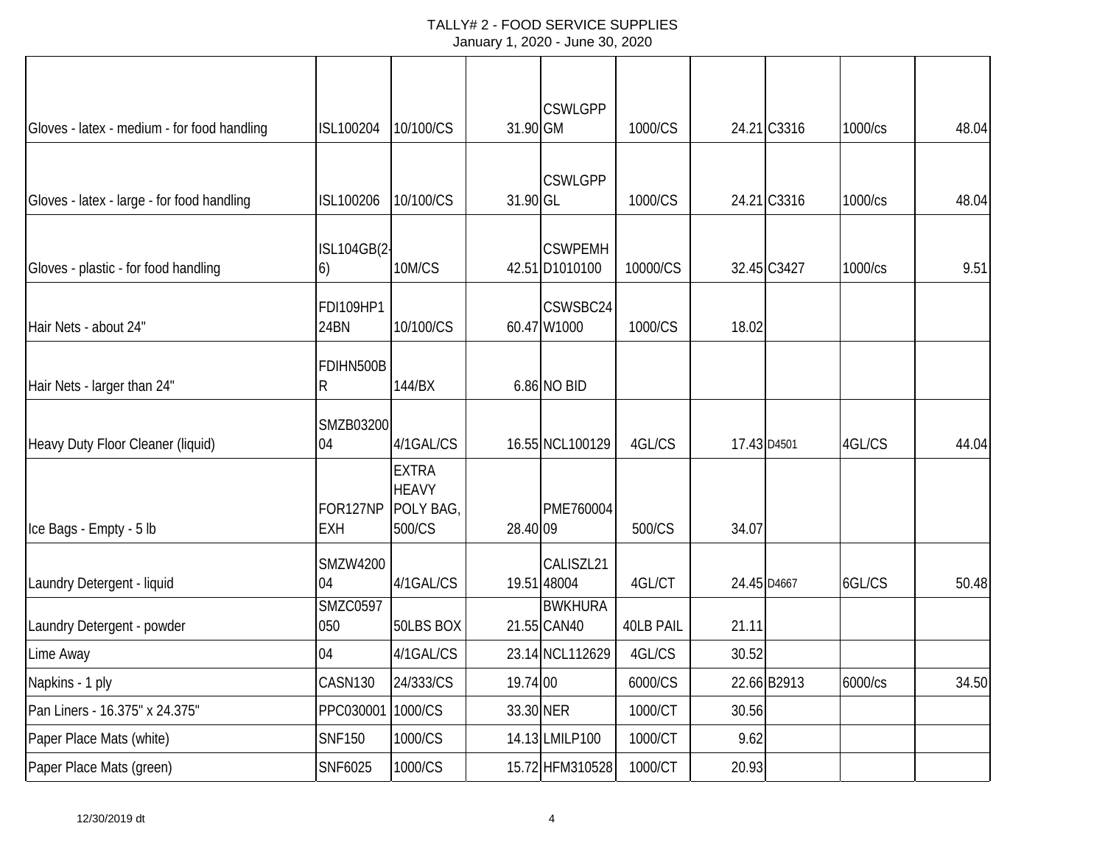### TALLY# 2 - FOOD SERVICE SUPPLIES January 1, 2020 - June 30, 2020

|                                             |                   |                           |           | <b>CSWLGPP</b>  |           |             |             |         |       |
|---------------------------------------------|-------------------|---------------------------|-----------|-----------------|-----------|-------------|-------------|---------|-------|
| Gloves - latex - medium - for food handling | ISL100204         | 10/100/CS                 | 31.90 GM  |                 | 1000/CS   |             | 24.21 C3316 | 1000/cs | 48.04 |
|                                             |                   |                           |           |                 |           |             |             |         |       |
| Gloves - latex - large - for food handling  | ISL100206         | 10/100/CS                 | 31.90 GL  | <b>CSWLGPP</b>  | 1000/CS   |             | 24.21 C3316 | 1000/cs | 48.04 |
|                                             |                   |                           |           |                 |           |             |             |         |       |
|                                             | ISL104GB(2-       |                           |           | <b>CSWPEMH</b>  |           |             |             |         |       |
| Gloves - plastic - for food handling        | $\vert 6)$        | 10M/CS                    |           | 42.51 D1010100  | 10000/CS  |             | 32.45 C3427 | 1000/cs | 9.51  |
|                                             | FDI109HP1         |                           |           | CSWSBC24        |           |             |             |         |       |
| Hair Nets - about 24"                       | 24BN              | 10/100/CS                 |           | 60.47 W1000     | 1000/CS   | 18.02       |             |         |       |
|                                             | FDIHN500B         |                           |           |                 |           |             |             |         |       |
| Hair Nets - larger than 24"                 | $\mathsf R$       | 144/BX                    |           | 6.86 NO BID     |           |             |             |         |       |
|                                             | SMZB03200         |                           |           |                 |           |             |             |         |       |
| Heavy Duty Floor Cleaner (liquid)           | 04                | 4/1GAL/CS                 |           | 16.55 NCL100129 | 4GL/CS    | 17.43 D4501 |             | 4GL/CS  | 44.04 |
|                                             |                   | <b>EXTRA</b>              |           |                 |           |             |             |         |       |
|                                             | FOR127NP          | <b>HEAVY</b><br>POLY BAG, |           | PME760004       |           |             |             |         |       |
| Ice Bags - Empty - 5 lb                     | <b>EXH</b>        | 500/CS                    | 28.40 09  |                 | 500/CS    | 34.07       |             |         |       |
|                                             | <b>SMZW4200</b>   |                           |           | CALISZL21       |           |             |             |         |       |
| Laundry Detergent - liquid                  | 04                | 4/1GAL/CS                 |           | 19.51 48004     | 4GL/CT    | 24.45 D4667 |             | 6GL/CS  | 50.48 |
|                                             | <b>SMZC0597</b>   |                           |           | <b>BWKHURA</b>  |           |             |             |         |       |
| Laundry Detergent - powder                  | 050               | 50LBS BOX                 |           | 21.55 CAN40     | 40LB PAIL | 21.11       |             |         |       |
| Lime Away                                   | 04                | 4/1GAL/CS                 |           | 23.14 NCL112629 | 4GL/CS    | 30.52       |             |         |       |
| Napkins - 1 ply                             | CASN130           | 24/333/CS                 | 19.74 00  |                 | 6000/CS   |             | 22.66 B2913 | 6000/cs | 34.50 |
| Pan Liners - 16.375" x 24.375"              | PPC030001 1000/CS |                           | 33.30 NER |                 | 1000/CT   | 30.56       |             |         |       |
| Paper Place Mats (white)                    | <b>SNF150</b>     | 1000/CS                   |           | 14.13 LMILP100  | 1000/CT   | 9.62        |             |         |       |
| Paper Place Mats (green)                    | SNF6025           | 1000/CS                   |           | 15.72 HFM310528 | 1000/CT   | 20.93       |             |         |       |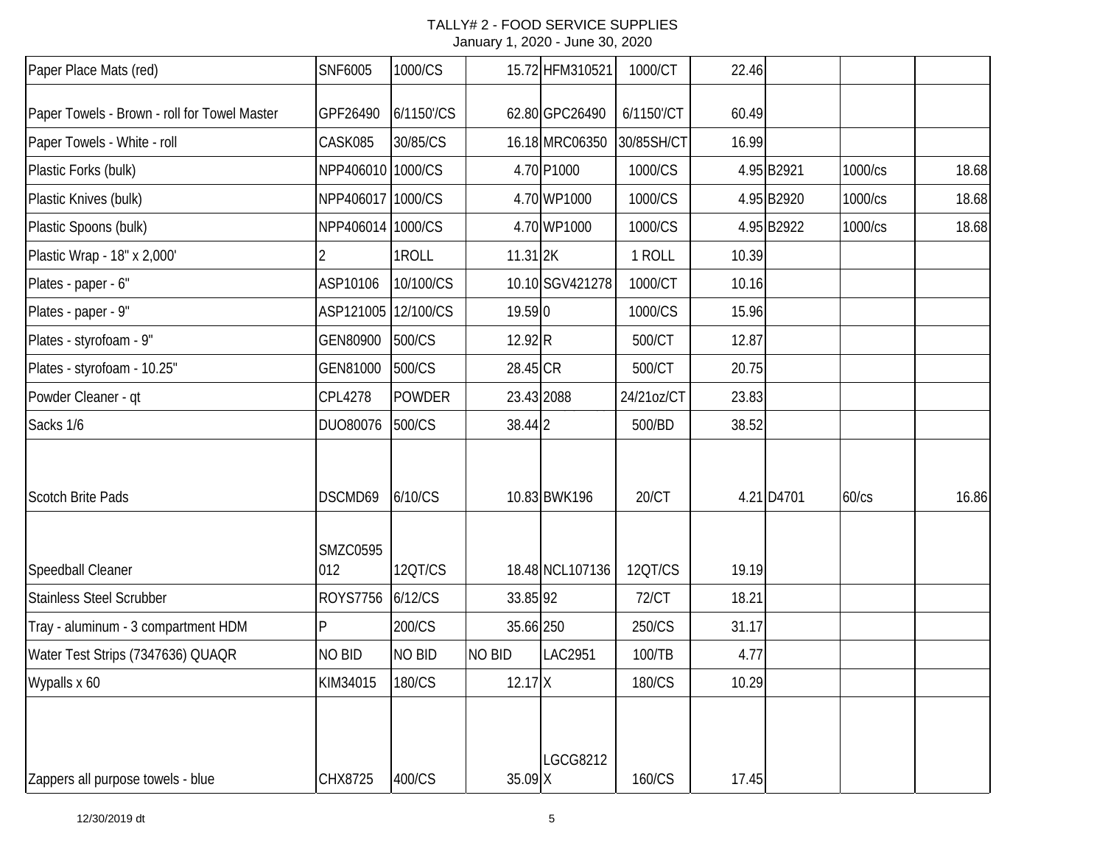| Paper Place Mats (red)                       | SNF6005                | 1000/CS       |               | 15.72 HFM310521 | 1000/CT      | 22.46 |            |         |       |
|----------------------------------------------|------------------------|---------------|---------------|-----------------|--------------|-------|------------|---------|-------|
| Paper Towels - Brown - roll for Towel Master | GPF26490               | 6/1150'/CS    |               | 62.80 GPC26490  | 6/1150'/CT   | 60.49 |            |         |       |
| Paper Towels - White - roll                  | CASK085                | 30/85/CS      |               | 16.18 MRC06350  | 30/85SH/CT   | 16.99 |            |         |       |
| Plastic Forks (bulk)                         | NPP406010 1000/CS      |               |               | 4.70 P1000      | 1000/CS      |       | 4.95 B2921 | 1000/cs | 18.68 |
| Plastic Knives (bulk)                        | NPP406017 1000/CS      |               |               | 4.70 WP1000     | 1000/CS      |       | 4.95 B2920 | 1000/cs | 18.68 |
| Plastic Spoons (bulk)                        | NPP406014 1000/CS      |               |               | 4.70 WP1000     | 1000/CS      |       | 4.95 B2922 | 1000/cs | 18.68 |
| Plastic Wrap - 18" x 2,000'                  |                        | 1ROLL         | 11.31 2K      |                 | 1 ROLL       | 10.39 |            |         |       |
| Plates - paper - 6"                          | ASP10106               | 10/100/CS     |               | 10.10 SGV421278 | 1000/CT      | 10.16 |            |         |       |
| Plates - paper - 9"                          | ASP121005 12/100/CS    |               | 19.59 0       |                 | 1000/CS      | 15.96 |            |         |       |
| Plates - styrofoam - 9"                      | GEN80900               | 500/CS        | 12.92 R       |                 | 500/CT       | 12.87 |            |         |       |
| Plates - styrofoam - 10.25"                  | GEN81000               | 500/CS        | 28.45 CR      |                 | 500/CT       | 20.75 |            |         |       |
| Powder Cleaner - qt                          | CPL4278                | <b>POWDER</b> |               | 23.43 2088      | 24/21oz/CT   | 23.83 |            |         |       |
| Sacks 1/6                                    | DUO80076               | 500/CS        | 38.44 2       |                 | 500/BD       | 38.52 |            |         |       |
| <b>Scotch Brite Pads</b>                     | DSCMD69                | 6/10/CS       |               | 10.83 BWK196    | 20/CT        |       | 4.21 D4701 | 60/cs   | 16.86 |
| Speedball Cleaner                            | <b>SMZC0595</b><br>012 | 12QT/CS       |               | 18.48 NCL107136 | 12QT/CS      | 19.19 |            |         |       |
| Stainless Steel Scrubber                     | <b>ROYS7756</b>        | 6/12/CS       | 33.85 92      |                 | <b>72/CT</b> | 18.21 |            |         |       |
| Tray - aluminum - 3 compartment HDM          | P                      | 200/CS        | 35.66 250     |                 | 250/CS       | 31.17 |            |         |       |
| Water Test Strips (7347636) QUAQR            | <b>NO BID</b>          | <b>NO BID</b> | <b>NO BID</b> | LAC2951         | 100/TB       | 4.77  |            |         |       |
| Wypalls x 60                                 | KIM34015               | 180/CS        | $12.17$ X     |                 | 180/CS       | 10.29 |            |         |       |
| Zappers all purpose towels - blue            | CHX8725                | 400/CS        | 35.09 X       | <b>LGCG8212</b> | 160/CS       | 17.45 |            |         |       |